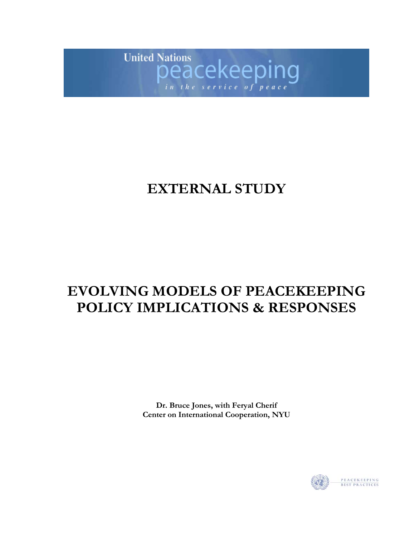

# **EXTERNAL STUDY**

# **EVOLVING MODELS OF PEACEKEEPING POLICY IMPLICATIONS & RESPONSES**

**Dr. Bruce Jones, with Feryal Cherif Center on International Cooperation, NYU**

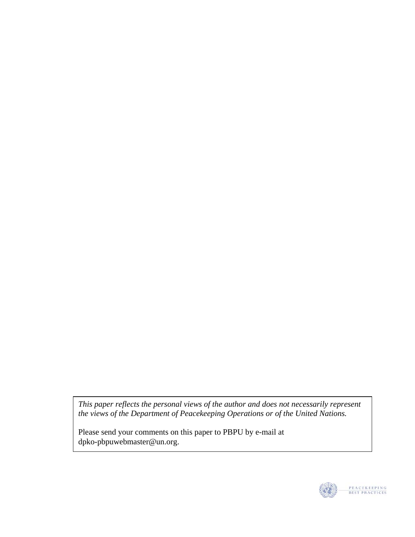*This paper reflects the personal views of the author and does not necessarily represent the views of the Department of Peacekeeping Operations or of the United Nations.* 

Please send your comments on this paper to PBPU by e-mail at dpko-pbpuwebmaster@un.org.

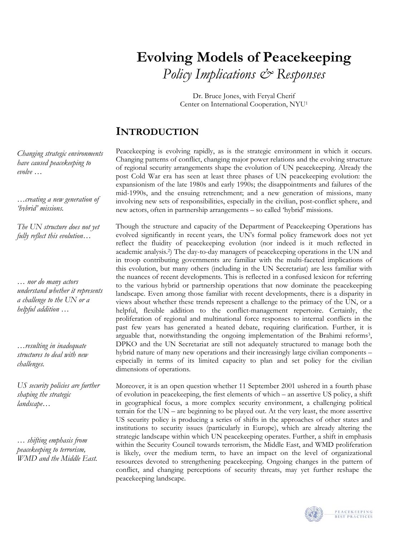# **Evolving Models of Peacekeeping**  *Policy Implications & Responses*

Dr. Bruce Jones, with Feryal Cherif Center on International Cooperation, NYU[1](#page-33-0)

# **INTRODUCTION**

Peacekeeping is evolving rapidly, as is the strategic environment in which it occurs. Changing patterns of conflict, changing major power relations and the evolving structure of regional security arrangements shape the evolution of UN peacekeeping. Already the post Cold War era has seen at least three phases of UN peacekeeping evolution: the expansionism of the late 1980s and early 1990s; the disappointments and failures of the mid-1990s, and the ensuing retrenchment; and a new generation of missions, many involving new sets of responsibilities, especially in the civilian, post-conflict sphere, and new actors, often in partnership arrangements – so called 'hybrid' missions.

Though the structure and capacity of the Department of Peacekeeping Operations has evolved significantly in recent years, the UN's formal policy framework does not yet reflect the fluidity of peacekeeping evolution (nor indeed is it much reflected in academic analysis.[2\)](#page-33-1) The day-to-day managers of peacekeeping operations in the UN and in troop contributing governments are familiar with the multi-faceted implications of this evolution, but many others (including in the UN Secretariat) are less familiar with the nuances of recent developments. This is reflected in a confused lexicon for referring to the various hybrid or partnership operations that now dominate the peacekeeping landscape. Even among those familiar with recent developments, there is a disparity in views about whether these trends represent a challenge to the primacy of the UN, or a helpful, flexible addition to the conflict-management repertoire. Certainly, the proliferation of regional and multinational force responses to internal conflicts in the past few years has generated a heated debate, requiring clarification. Further, it is arguable that, notwithstanding the ongoing implementation of the Brahimi reforms<sup>3</sup>, DPKO and the UN Secretariat are still not adequately structured to manage both the hybrid nature of many new operations and their increasingly large civilian components – especially in terms of its limited capacity to plan and set policy for the civilian dimensions of operations.

Moreover, it is an open question whether 11 September 2001 ushered in a fourth phase of evolution in peacekeeping, the first elements of which – an assertive US policy, a shift in geographical focus, a more complex security environment, a challenging political terrain for the UN – are beginning to be played out. At the very least, the more assertive US security policy is producing a series of shifts in the approaches of other states and institutions to security issues (particularly in Europe), which are already altering the strategic landscape within which UN peacekeeping operates. Further, a shift in emphasis within the Security Council towards terrorism, the Middle East, and WMD proliferation is likely, over the medium term, to have an impact on the level of organizational resources devoted to strengthening peacekeeping. Ongoing changes in the pattern of conflict, and changing perceptions of security threats, may yet further reshape the peacekeeping landscape.



*Changing strategic environments have caused peacekeeping to evolve …* 

*…creating a new generation of 'hybrid' missions.* 

*The UN structure does not yet fully reflect this evolution…* 

*… nor do many actors understand whether it represents a challenge to the UN or a helpful addition …* 

*…resulting in inadequate structures to deal with new challenges.* 

*US security policies are further shaping the strategic landscape…* 

*… shifting emphasis from peacekeeping to terrorism, WMD and the Middle East.*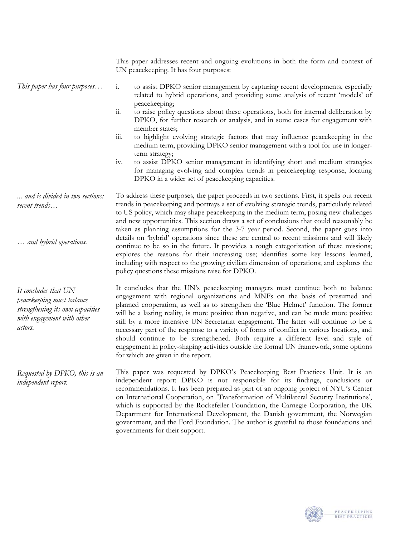|                                                                                                                                | This paper addresses recent and ongoing evolutions in both the form and context of<br>UN peacekeeping. It has four purposes:                                                                                                                                                                                                                                                                                                                                                                                                                                                                                                                                                                                                                                |
|--------------------------------------------------------------------------------------------------------------------------------|-------------------------------------------------------------------------------------------------------------------------------------------------------------------------------------------------------------------------------------------------------------------------------------------------------------------------------------------------------------------------------------------------------------------------------------------------------------------------------------------------------------------------------------------------------------------------------------------------------------------------------------------------------------------------------------------------------------------------------------------------------------|
| This paper has four purposes                                                                                                   | $\mathbf{i}$ .<br>to assist DPKO senior management by capturing recent developments, especially<br>related to hybrid operations, and providing some analysis of recent 'models' of<br>peacekeeping;                                                                                                                                                                                                                                                                                                                                                                                                                                                                                                                                                         |
|                                                                                                                                | $\dddot{11}$ .<br>to raise policy questions about these operations, both for internal deliberation by<br>DPKO, for further research or analysis, and in some cases for engagement with<br>member states;                                                                                                                                                                                                                                                                                                                                                                                                                                                                                                                                                    |
|                                                                                                                                | $\mathop{\text{iii}}\nolimits$<br>to highlight evolving strategic factors that may influence peacekeeping in the<br>medium term, providing DPKO senior management with a tool for use in longer-<br>term strategy;                                                                                                                                                                                                                                                                                                                                                                                                                                                                                                                                          |
|                                                                                                                                | to assist DPKO senior management in identifying short and medium strategies<br>iv.<br>for managing evolving and complex trends in peacekeeping response, locating<br>DPKO in a wider set of peacekeeping capacities.                                                                                                                                                                                                                                                                                                                                                                                                                                                                                                                                        |
| and is divided in two sections:<br>recent trends                                                                               | To address these purposes, the paper proceeds in two sections. First, it spells out recent<br>trends in peacekeeping and portrays a set of evolving strategic trends, particularly related<br>to US policy, which may shape peacekeeping in the medium term, posing new challenges<br>and new opportunities. This section draws a set of conclusions that could reasonably be<br>taken as planning assumptions for the 3-7 year period. Second, the paper goes into                                                                                                                                                                                                                                                                                         |
| and hybrid operations.                                                                                                         | details on 'hybrid' operations since these are central to recent missions and will likely<br>continue to be so in the future. It provides a rough categorization of these missions;<br>explores the reasons for their increasing use; identifies some key lessons learned,<br>including with respect to the growing civilian dimension of operations; and explores the<br>policy questions these missions raise for DPKO.                                                                                                                                                                                                                                                                                                                                   |
| It concludes that UN<br>peacekeeping must balance<br>strengthening its own capacities<br>with engagement with other<br>actors. | It concludes that the UN's peacekeeping managers must continue both to balance<br>engagement with regional organizations and MNFs on the basis of presumed and<br>planned cooperation, as well as to strengthen the 'Blue Helmet' function. The former<br>will be a lasting reality, is more positive than negative, and can be made more positive<br>still by a more intensive UN Secretariat engagement. The latter will continue to be a<br>necessary part of the response to a variety of forms of conflict in various locations, and<br>should continue to be strengthened. Both require a different level and style of<br>engagement in policy-shaping activities outside the formal UN framework, some options<br>for which are given in the report. |
| Requested by DPKO, this is an<br>independent report.                                                                           | This paper was requested by DPKO's Peacekeeping Best Practices Unit. It is an<br>independent report: DPKO is not responsible for its findings, conclusions or<br>recommendations. It has been prepared as part of an ongoing project of NYU's Center<br>on International Cooperation, on 'Transformation of Multilateral Security Institutions',<br>which is supported by the Rockefeller Foundation, the Carnegie Corporation, the UK<br>Department for International Development, the Danish government, the Norwegian<br>government, and the Ford Foundation. The author is grateful to those foundations and<br>governments for their support.                                                                                                          |

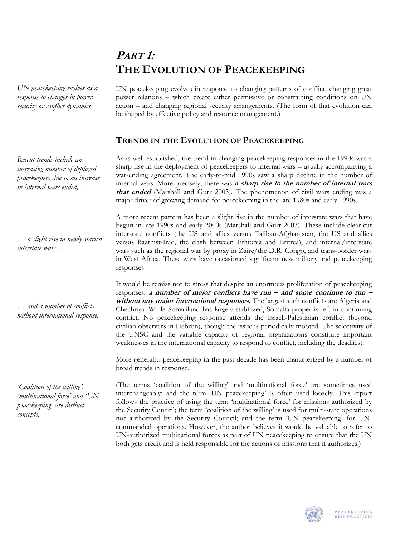# **PART 1: THE EVOLUTION OF PEACEKEEPING**

*UN peacekeeping evolves as a response to changes in power, security or conflict dynamics.* 

*Recent trends include an increasing number of deployed peacekeepers due to an increase in internal wars ended, …* 

*… a slight rise in newly started interstate wars…* 

*… and a number of conflicts without international response.*

*'Coalition of the willing', 'multinational force' and 'UN peacekeeping' are distinct concepts.* 

UN peacekeeping evolves in response to changing patterns of conflict, changing great power relations – which create either permissive or constraining conditions on UN action – and changing regional security arrangements. (The form of that evolution can be shaped by effective policy and resource management.)

# **TRENDS IN THE EVOLUTION OF PEACEKEEPING**

As is well established, the trend in changing peacekeeping responses in the 1990s was a sharp rise in the deployment of peacekeepers to internal wars – usually accompanying a war-ending agreement. The early-to-mid 1990s saw a sharp decline in the number of internal wars. More precisely, there was **a sharp rise in the number of internal wars that ended** (Marshall and Gurr 2003). The phenomenon of civil wars ending was a major driver of growing demand for peacekeeping in the late 1980s and early 1990s.

A more recent pattern has been a slight rise in the number of interstate wars that have begun in late 1990s and early 2000s (Marshall and Gurr 2003). These include clear-cut interstate conflicts (the US and allies versus Taliban-Afghanistan, the US and allies versus Baathist-Iraq, the clash between Ethiopia and Eritrea), and internal/interstate wars such as the regional war by proxy in Zaire/the D.R. Congo, and trans-border wars in West Africa. These wars have occasioned significant new military and peacekeeping responses.

It would be remiss not to stress that despite an enormous proliferation of peacekeeping responses, a number of major conflicts have run – and some continue to run – **without any major international responses.** The largest such conflicts are Algeria and Chechnya. While Somaliland has largely stabilized, Somalia proper is left in continuing conflict. No peacekeeping response attends the Israeli-Palestinian conflict (beyond civilian observers in Hebron), though the issue is periodically mooted. The selectivity of the UNSC and the variable capacity of regional organizations constitute important weaknesses in the international capacity to respond to conflict, including the deadliest.

More generally, peacekeeping in the past decade has been characterized by a number of broad trends in response.

(The terms 'coalition of the willing' and 'multinational force' are sometimes used interchangeably; and the term 'UN peacekeeping' is often used loosely. This report follows the practice of using the term 'multinational force' for missions authorized by the Security Council; the term 'coalition of the willing' is used for multi-state operations not authorized by the Security Council; and the term 'UN peacekeeping' for UNcommanded operations. However, the author believes it would be valuable to refer to UN-authorized multinational forces as part of UN peacekeeping to ensure that the UN both gets credit and is held responsible for the actions of missions that it authorizes.)

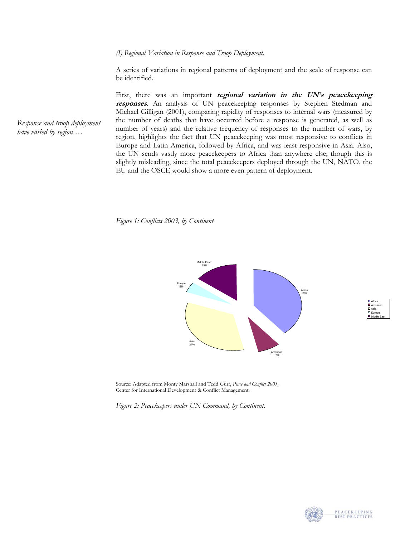*(I) Regional Variation in Response and Troop Deployment*.

A series of variations in regional patterns of deployment and the scale of response can be identified.

First, there was an important **regional variation in the UN's peacekeeping responses**. An analysis of UN peacekeeping responses by Stephen Stedman and Michael Gilligan (2001), comparing rapidity of responses to internal wars (measured by the number of deaths that have occurred before a response is generated, as well as number of years) and the relative frequency of responses to the number of wars, by region, highlights the fact that UN peacekeeping was most responsive to conflicts in Europe and Latin America, followed by Africa, and was least responsive in Asia. Also, the UN sends vastly more peacekeepers to Africa than anywhere else; though this is slightly misleading, since the total peacekeepers deployed through the UN, NATO, the EU and the OSCE would show a more even pattern of deployment.

*Figure 1: Conflicts 2003, by Continent* 



Source: Adapted from Monty Marshall and Tedd Gurr, *Peace and Conflict 2003,*  Center for International Development & Conflict Management.

*Figure 2: Peacekeepers under UN Command, by Continent.* 



Africa Americas Asia Europe Middle East

*Response and troop deployment have varied by region …*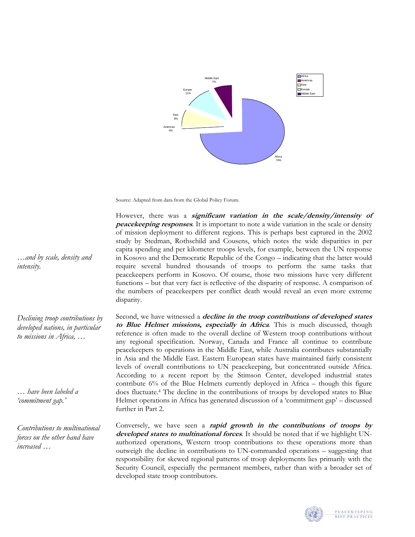

Source: Adapted from data from the Global Policy Forum.

However, there was a *significant variation in the scale/density/intensity of* **peacekeeping responses**. It is important to note a wide variation in the scale or density of mission deployment to different regions. This is perhaps best captured in the 2002 study by Stedman, Rothschild and Cousens, which notes the wide disparities in per capita spending and per kilometer troops levels, for example, between the UN response in Kosovo and the Democratic Republic of the Congo – indicating that the latter would require several hundred thousands of troops to perform the same tasks that peacekeepers perform in Kosovo. Of course, those two missions have very different functions – but that very fact is reflective of the disparity of response. A comparison of the numbers of peacekeepers per conflict death would reveal an even more extreme disparity.

Second, we have witnessed a **decline in the troop contributions of developed states to Blue Helmet missions, especially in Africa***.* This is much discussed, though reference is often made to the overall decline of Western troop contributions without any regional specification. Norway, Canada and France all continue to contribute peacekeepers to operations in the Middle East, while Australia contributes substantially in Asia and the Middle East. Eastern European states have maintained fairly consistent levels of overall contributions to UN peacekeeping, but concentrated outside Africa. According to a recent report by the Stimson Center, developed industrial states contribute 6% of the Blue Helmets currently deployed in Africa – though this figure does fluctuate. [4](#page-33-3) The decline in the contributions of troops by developed states to Blue Helmet operations in Africa has generated discussion of a 'commitment gap' – discussed further in Part 2.

Conversely, we have seen a **rapid growth in the contributions of troops by developed states to multinational forces**. It should be noted that if we highlight UNauthorized operations, Western troop contributions to these operations more than outweigh the decline in contributions to UN-commanded operations – suggesting that responsibility for skewed regional patterns of troop deployments lies primarily with the Security Council, especially the permanent members, rather than with a broader set of developed state troop contributors.



PEACEKEEPING<br>BEST PRACTICES

*…and by scale, density and intensity.* 

*Declining troop contributions by developed nations, in particular to missions in Africa, …* 

*… have been labeled a 'commitment gap.'* 

*Contributions to multinational forces on the other hand have increased …*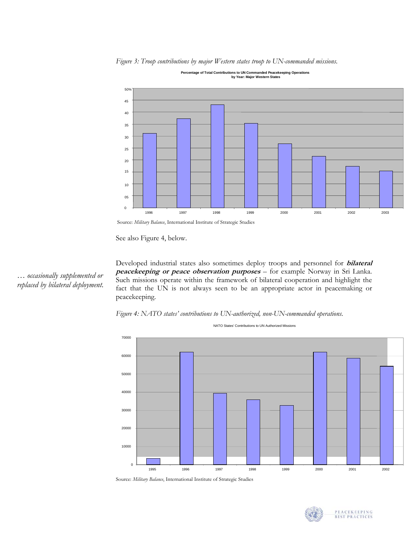*Figure 3: Troop contributions by major Western states troop to UN-commanded missions.* 



**Percentage of Total Contributions to UN Commanded Peacekeeping Operations by Year: Major Western States**

Source: *Military Balance*, International Institute of Strategic Studies

See also Figure 4, below.

*… occasionally supplemented or replaced by bilateral deployment.* 

Developed industrial states also sometimes deploy troops and personnel for **bilateral peacekeeping or peace observation purposes** – for example Norway in Sri Lanka. Such missions operate within the framework of bilateral cooperation and highlight the fact that the UN is not always seen to be an appropriate actor in peacemaking or peacekeeping.





Source: *Military Balance*, International Institute of Strategic Studies

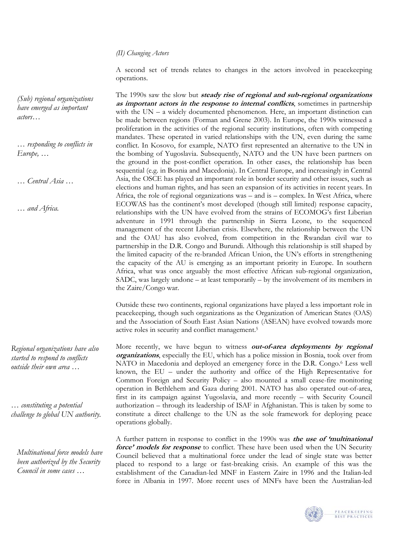## *(II) Changing Actors*

A second set of trends relates to changes in the actors involved in peacekeeping operations.

The 1990s saw the slow but *steady rise of regional and sub-regional organizations* **as important actors in the response to internal conflicts**, sometimes in partnership with the UN – a widely documented phenomenon. Here, an important distinction can be made between regions (Forman and Grene 2003). In Europe, the 1990s witnessed a proliferation in the activities of the regional security institutions, often with competing mandates. These operated in varied relationships with the UN, even during the same conflict. In Kosovo, for example, NATO first represented an alternative to the UN in the bombing of Yugoslavia. Subsequently, NATO and the UN have been partners on the ground in the post-conflict operation. In other cases, the relationship has been sequential (e.g. in Bosnia and Macedonia). In Central Europe, and increasingly in Central Asia, the OSCE has played an important role in border security and other issues, such as elections and human rights, and has seen an expansion of its activities in recent years. In Africa, the role of regional organizations was – and is – complex. In West Africa, where ECOWAS has the continent's most developed (though still limited) response capacity, relationships with the UN have evolved from the strains of ECOMOG's first Liberian adventure in 1991 through the partnership in Sierra Leone, to the sequenced management of the recent Liberian crisis. Elsewhere, the relationship between the UN and the OAU has also evolved, from competition in the Rwandan civil war to partnership in the D.R. Congo and Burundi. Although this relationship is still shaped by the limited capacity of the re-branded African Union, the UN's efforts in strengthening the capacity of the AU is emerging as an important priority in Europe. In southern Africa, what was once arguably the most effective African sub-regional organization, SADC, was largely undone – at least temporarily – by the involvement of its members in the Zaire/Congo war.

Outside these two continents, regional organizations have played a less important role in peacekeeping, though such organizations as the Organization of American States (OAS) and the Association of South East Asian Nations (ASEAN) have evolved towards more active roles in security and conflict management[.5](#page-33-4)

More recently, we have begun to witness *out-of-area deployments by regional* **organizations**, especially the EU, which has a police mission in Bosnia, took over from NATO in Macedonia and deployed an emergency force in the D.R. Congo.<sup>6</sup> Less well known, the EU – under the authority and office of the High Representative for Common Foreign and Security Policy – also mounted a small cease-fire monitoring operation in Bethlehem and Gaza during 2001. NATO has also operated out-of-area, first in its campaign against Yugoslavia, and more recently – with Security Council authorization – through its leadership of ISAF in Afghanistan. This is taken by some to constitute a direct challenge to the UN as the sole framework for deploying peace operations globally.

A further pattern in response to conflict in the 1990s was **the use of 'multinational force' models for response** to conflict. These have been used when the UN Security Council believed that a multinational force under the lead of single state was better placed to respond to a large or fast-breaking crisis. An example of this was the establishment of the Canadian-led MNF in Eastern Zaire in 1996 and the Italian-led force in Albania in 1997. More recent uses of MNFs have been the Australian-led



PEACEKEEPING<br>BEST PRACTICES

*(Sub) regional organizations have emerged as important actors…* 

*… responding to conflicts in Europe, …* 

*… Central Asia …* 

*… and Africa.* 

*Regional organizations have also started to respond to conflicts outside their own area …* 

*… constituting a potential challenge to global UN authority.* 

*Multinational force models have been authorized by the Security Council in some cases …*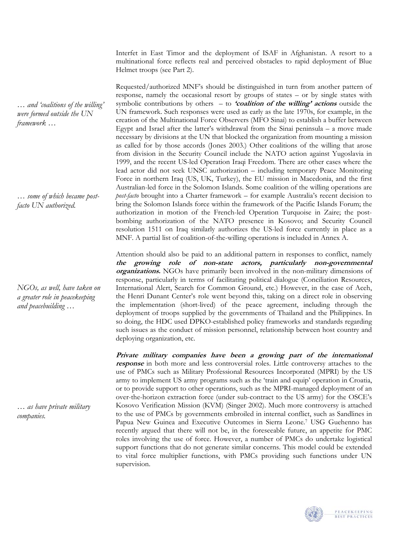Interfet in East Timor and the deployment of ISAF in Afghanistan. A resort to a multinational force reflects real and perceived obstacles to rapid deployment of Blue Helmet troops (see Part 2).

Requested/authorized MNF's should be distinguished in turn from another pattern of response, namely the occasional resort by groups of states – or by single states with symbolic contributions by others – to **'coalition of the willing' actions** outside the UN framework. Such responses were used as early as the late 1970s, for example, in the creation of the Multinational Force Observers (MFO Sinai) to establish a buffer between Egypt and Israel after the latter's withdrawal from the Sinai peninsula – a move made necessary by divisions at the UN that blocked the organization from mounting a mission as called for by those accords (Jones 2003.) Other coalitions of the willing that arose from division in the Security Council include the NATO action against Yugoslavia in 1999, and the recent US-led Operation Iraqi Freedom. There are other cases where the lead actor did not seek UNSC authorization – including temporary Peace Monitoring Force in northern Iraq (US, UK, Turkey), the EU mission in Macedonia, and the first Australian-led force in the Solomon Islands. Some coalition of the willing operations are *post-facto* brought into a Charter framework – for example Australia's recent decision to bring the Solomon Islands force within the framework of the Pacific Islands Forum; the authorization in motion of the French-led Operation Turquoise in Zaire; the postbombing authorization of the NATO presence in Kosovo; and Security Council resolution 1511 on Iraq similarly authorizes the US-led force currently in place as a MNF. A partial list of coalition-of-the-willing operations is included in Annex A.

Attention should also be paid to an additional pattern in responses to conflict, namely **the growing role of non-state actors, particularly non-governmenta l** organizations. NGOs have primarily been involved in the non-military dimensions of response, particularly in terms of facilitating political dialogue (Conciliation Resources, International Alert, Search for Common Ground, etc.) However, in the case of Aceh, the Henri Dunant Center's role went beyond this, taking on a direct role in observing the implementation (short-lived) of the peace agreement, including through the deployment of troops supplied by the governments of Thailand and the Philippines. In so doing, the HDC used DPKO-established policy frameworks and standards regarding such issues as the conduct of mission personnel, relationship between host country and deploying organization, etc.

**Private military companies have been a growing part of the international response** in both more and less controversial roles. Little controversy attaches to the use of PMCs such as Military Professional Resources Incorporated (MPRI) by the US army to implement US army programs such as the 'train and equip' operation in Croatia, or to provide support to other operations, such as the MPRI-managed deployment of an over-the-horizon extraction force (under sub-contract to the US army) for the OSCE's Kosovo Verification Mission (KVM) (Singer 2002). Much more controversy is attached to the use of PMCs by governments embroiled in internal conflict, such as Sandlines in Papua New Guinea and Executive Outcomes in Sierra Leone[.7](#page-33-6) USG Guehenno has recently argued that there will not be, in the foreseeable future, an appetite for PMC roles involving the use of force. However, a number of PMCs do undertake logistical support functions that do not generate similar concerns. This model could be extended to vital force multiplier functions, with PMCs providing such functions under UN supervision.



*… some of which became postfacto UN authorized.* 

*NGOs, as well, have taken on a greater role in peacekeeping and peacebuilding …* 

*… as have private military companies.* 

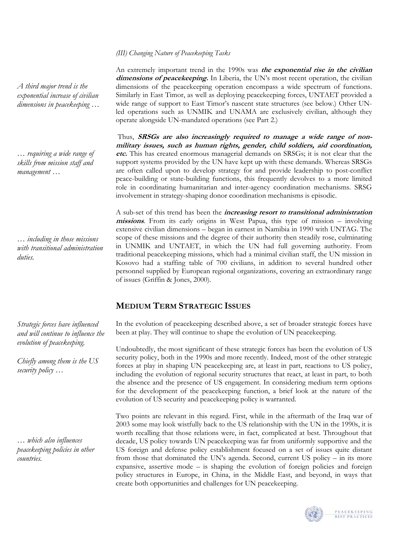## *(III) Changing Nature of Peacekeeping Tasks*

An extremely important trend in the 1990s was **the exponential rise in the civilian**  dimensions of peacekeeping. In Liberia, the UN's most recent operation, the civilian dimensions of the peacekeeping operation encompass a wide spectrum of functions. Similarly in East Timor, as well as deploying peacekeeping forces, UNTAET provided a wide range of support to East Timor's nascent state structures (see below.) Other UNled operations such as UNMIK and UNAMA are exclusively civilian, although they operate alongside UN-mandated operations (see Part 2.)

 Thus, **SRSGs are also increasingly required to manage a wide range of nonmil tary issues, such as human righ s, gender, child soldiers, aid coordination, i t etc.** This has created enormous managerial demands on SRSGs; it is not clear that the support systems provided by the UN have kept up with these demands. Whereas SRSGs are often called upon to develop strategy for and provide leadership to post-conflict peace-building or state-building functions, this frequently devolves to a more limited role in coordinating humanitarian and inter-agency coordination mechanisms. SRSG involvement in strategy-shaping donor coordination mechanisms is episodic.

A sub-set of this trend has been the *increasing resort to transitional administration* **missions**. From its early origins in West Papua, this type of mission – involving extensive civilian dimensions – began in earnest in Namibia in 1990 with UNTAG. The scope of these missions and the degree of their authority then steadily rose, culminating in UNMIK and UNTAET, in which the UN had full governing authority. From traditional peacekeeping missions, which had a minimal civilian staff, the UN mission in Kosovo had a staffing table of 700 civilians, in addition to several hundred other personnel supplied by European regional organizations, covering an extraordinary range of issues (Griffin & Jones, 2000).

# **MEDIUM TERM STRATEGIC ISSUES**

In the evolution of peacekeeping described above, a set of broader strategic forces have been at play. They will continue to shape the evolution of UN peacekeeping.

Undoubtedly, the most significant of these strategic forces has been the evolution of US security policy, both in the 1990s and more recently. Indeed, most of the other strategic forces at play in shaping UN peacekeeping are, at least in part, reactions to US policy, including the evolution of regional security structures that react, at least in part, to both the absence and the presence of US engagement. In considering medium term options for the development of the peacekeeping function, a brief look at the nature of the evolution of US security and peacekeeping policy is warranted.

Two points are relevant in this regard. First, while in the aftermath of the Iraq war of 2003 some may look wistfully back to the US relationship with the UN in the 1990s, it is worth recalling that those relations were, in fact, complicated at best. Throughout that decade, US policy towards UN peacekeeping was far from uniformly supportive and the US foreign and defense policy establishment focused on a set of issues quite distant from those that dominated the UN's agenda. Second, current US policy – in its more expansive, assertive mode – is shaping the evolution of foreign policies and foreign policy structures in Europe, in China, in the Middle East, and beyond, in ways that create both opportunities and challenges for UN peacekeeping.



*A third major trend is the exponential increase of civilian dimensions in peacekeeping …* 

*… requiring a wide range of skills from mission staff and management …* 

*… including in those missions with transitional administration duties.* 

*Strategic forces have influenced and will continue to influence the evolution of peacekeeping.* 

*Chiefly among them is the US security policy …* 

*… which also influences peacekeeping policies in other countries.*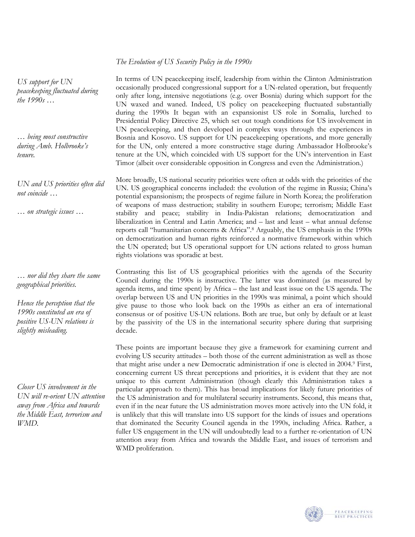# *The Evolution of US Security Policy in the 1990s*

*US support for UN peacekeeping fluctuated during the 1990s …* 

*… being most constructive during Amb. Holbrooke's tenure.* 

*UN and US priorities often did not coincide …* 

*… on strategic issues …* 

*… nor did they share the same geographical priorities.* 

*Hence the perception that the 1990s constituted an era of positive US-UN relations is slightly misleading.* 

*Closer US involvement in the UN will re-orient UN attention away from Africa and towards the Middle East, terrorism and WMD.* 

In terms of UN peacekeeping itself, leadership from within the Clinton Administration occasionally produced congressional support for a UN-related operation, but frequently only after long, intensive negotiations (e.g. over Bosnia) during which support for the UN waxed and waned. Indeed, US policy on peacekeeping fluctuated substantially during the 1990s It began with an expansionist US role in Somalia, lurched to Presidential Policy Directive 25, which set out tough conditions for US involvement in UN peacekeeping, and then developed in complex ways through the experiences in Bosnia and Kosovo. US support for UN peacekeeping operations, and more generally for the UN, only entered a more constructive stage during Ambassador Holbrooke's tenure at the UN, which coincided with US support for the UN's intervention in East Timor (albeit over considerable opposition in Congress and even the Administration.)

More broadly, US national security priorities were often at odds with the priorities of the UN. US geographical concerns included: the evolution of the regime in Russia; China's potential expansionism; the prospects of regime failure in North Korea; the proliferation of weapons of mass destruction; stability in southern Europe; terrorism; Middle East stability and peace; stability in India-Pakistan relations; democratization and liberalization in Central and Latin America; and – last and least – what annual defense reports call "humanitarian concerns & Africa"[.8](#page-33-7) Arguably, the US emphasis in the 1990s on democratization and human rights reinforced a normative framework within which the UN operated; but US operational support for UN actions related to gross human rights violations was sporadic at best.

Contrasting this list of US geographical priorities with the agenda of the Security Council during the 1990s is instructive. The latter was dominated (as measured by agenda items, and time spent) by Africa – the last and least issue on the US agenda. The overlap between US and UN priorities in the 1990s was minimal, a point which should give pause to those who look back on the 1990s as either an era of international consensus or of positive US-UN relations. Both are true, but only by default or at least by the passivity of the US in the international security sphere during that surprising decade.

These points are important because they give a framework for examining current and evolving US security attitudes – both those of the current administration as well as those that might arise under a new Democratic administration if one is elected in 2004[.9](#page-33-8) First, concerning current US threat perceptions and priorities, it is evident that they are not unique to this current Administration (though clearly this Administration takes a particular approach to them). This has broad implications for likely future priorities of the US administration and for multilateral security instruments. Second, this means that, even if in the near future the US administration moves more actively into the UN fold, it is unlikely that this will translate into US support for the kinds of issues and operations that dominated the Security Council agenda in the 1990s, including Africa. Rather, a fuller US engagement in the UN will undoubtedly lead to a further re-orientation of UN attention away from Africa and towards the Middle East, and issues of terrorism and WMD proliferation.

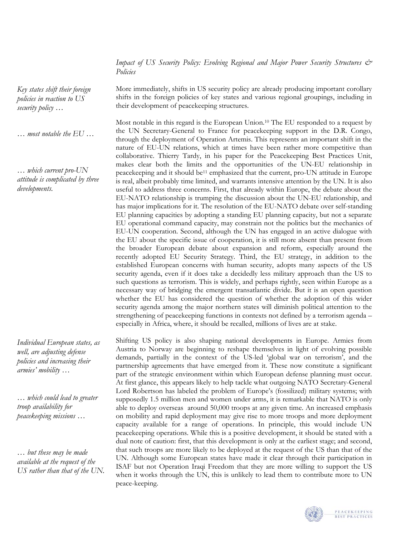*Impact of US Security Policy: Evolving Regional and Major Power Security Structures & Policies* 

More immediately, shifts in US security policy are already producing important corollary shifts in the foreign policies of key states and various regional groupings, including in their development of peacekeeping structures.

Most notable in this regard is the European Union. [10](#page-33-9) The EU responded to a request by the UN Secretary-General to France for peacekeeping support in the D.R. Congo, through the deployment of Operation Artemis. This represents an important shift in the nature of EU-UN relations, which at times have been rather more competitive than collaborative. Thierry Tardy, in his paper for the Peacekeeping Best Practices Unit, makes clear both the limits and the opportunities of the UN-EU relationship in peacekeeping and it should b[e11 e](#page-33-10)mphasized that the current, pro-UN attitude in Europe is real, albeit probably time limited, and warrants intensive attention by the UN. It is also useful to address three concerns. First, that already within Europe, the debate about the EU-NATO relationship is trumping the discussion about the UN-EU relationship, and has major implications for it. The resolution of the EU-NATO debate over self-standing EU planning capacities by adopting a standing EU planning capacity, but not a separate EU operational command capacity, may constrain not the politics but the mechanics of EU-UN cooperation. Second, although the UN has engaged in an active dialogue with the EU about the specific issue of cooperation, it is still more absent than present from the broader European debate about expansion and reform, especially around the recently adopted EU Security Strategy. Third, the EU strategy, in addition to the established European concerns with human security, adopts many aspects of the US security agenda, even if it does take a decidedly less military approach than the US to such questions as terrorism. This is widely, and perhaps rightly, seen within Europe as a necessary way of bridging the emergent transatlantic divide. But it is an open question whether the EU has considered the question of whether the adoption of this wider security agenda among the major northern states will diminish political attention to the strengthening of peacekeeping functions in contexts not defined by a terrorism agenda – especially in Africa, where, it should be recalled, millions of lives are at stake.

Shifting US policy is also shaping national developments in Europe. Armies from Austria to Norway are beginning to reshape themselves in light of evolving possible demands, partially in the context of the US-led 'global war on terrorism', and the partnership agreements that have emerged from it. These now constitute a significant part of the strategic environment within which European defense planning must occur. At first glance, this appears likely to help tackle what outgoing NATO Secretary-General Lord Robertson has labeled the problem of Europe's (fossilized) military systems; with supposedly 1.5 million men and women under arms, it is remarkable that NATO is only able to deploy overseas around 50,000 troops at any given time. An increased emphasis on mobility and rapid deployment may give rise to more troops and more deployment capacity available for a range of operations. In principle, this would include UN peacekeeping operations. While this is a positive development, it should be stated with a dual note of caution: first, that this development is only at the earliest stage; and second, that such troops are more likely to be deployed at the request of the US than that of the UN. Although some European states have made it clear through their participation in ISAF but not Operation Iraqi Freedom that they are more willing to support the US when it works through the UN, this is unlikely to lead them to contribute more to UN peace-keeping.



*Key states shift their foreign policies in reaction to US security policy …* 

*… most notable the EU …* 

*… which current pro-UN attitude is complicated by three developments.* 

*Individual European states, as well, are adjusting defense policies and increasing their armies' mobility …* 

*… which could lead to greater troop availability for peacekeeping missions …* 

*… but these may be made available at the request of the US rather than that of the UN.*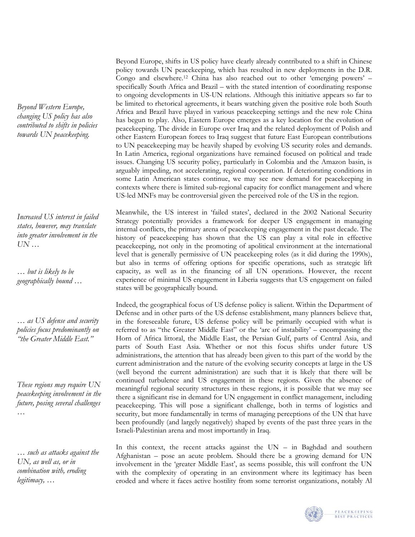*Beyond Western Europe, changing US policy has also contributed to shifts in policies towards UN peacekeeping.* 

*Increased US interest in failed states, however, may translate into greater involvement in the UN …* 

*… but is likely to be geographically bound …* 

*… as US defense and security policies focus predominantly on "the Greater Middle East."* 

*These regions may require UN peacekeeping involvement in the future, posing several challenges …* 

*… such as attacks against the UN, as well as, or in combination with, eroding legitimacy, …* 

Beyond Europe, shifts in US policy have clearly already contributed to a shift in Chinese policy towards UN peacekeeping, which has resulted in new deployments in the D.R. Congo and elsewhere.[12](#page-33-11) China has also reached out to other 'emerging powers' – specifically South Africa and Brazil – with the stated intention of coordinating response to ongoing developments in US-UN relations. Although this initiative appears so far to be limited to rhetorical agreements, it bears watching given the positive role both South Africa and Brazil have played in various peacekeeping settings and the new role China has begun to play. Also, Eastern Europe emerges as a key location for the evolution of peacekeeping. The divide in Europe over Iraq and the related deployment of Polish and other Eastern European forces to Iraq suggest that future East European contributions to UN peacekeeping may be heavily shaped by evolving US security roles and demands. In Latin America, regional organizations have remained focused on political and trade issues. Changing US security policy, particularly in Colombia and the Amazon basin, is arguably impeding, not accelerating, regional cooperation. If deteriorating conditions in some Latin American states continue, we may see new demand for peacekeeping in contexts where there is limited sub-regional capacity for conflict management and where US-led MNFs may be controversial given the perceived role of the US in the region.

Meanwhile, the US interest in 'failed states', declared in the 2002 National Security Strategy potentially provides a framework for deeper US engagement in managing internal conflicts, the primary arena of peacekeeping engagement in the past decade. The history of peacekeeping has shown that the US can play a vital role in effective peacekeeping, not only in the promoting of apolitical environment at the international level that is generally permissive of UN peacekeeping roles (as it did during the 1990s), but also in terms of offering options for specific operations, such as strategic lift capacity, as well as in the financing of all UN operations. However, the recent experience of minimal US engagement in Liberia suggests that US engagement on failed states will be geographically bound.

Indeed, the geographical focus of US defense policy is salient. Within the Department of Defense and in other parts of the US defense establishment, many planners believe that, in the foreseeable future, US defense policy will be primarily occupied with what is referred to as "the Greater Middle East" or the 'arc of instability' – encompassing the Horn of Africa littoral, the Middle East, the Persian Gulf, parts of Central Asia, and parts of South East Asia. Whether or not this focus shifts under future US administrations, the attention that has already been given to this part of the world by the current administration and the nature of the evolving security concepts at large in the US (well beyond the current administration) are such that it is likely that there will be continued turbulence and US engagement in these regions. Given the absence of meaningful regional security structures in these regions, it is possible that we may see there a significant rise in demand for UN engagement in conflict management, including peacekeeping. This will pose a significant challenge, both in terms of logistics and security, but more fundamentally in terms of managing perceptions of the UN that have been profoundly (and largely negatively) shaped by events of the past three years in the Israeli-Palestinian arena and most importantly in Iraq.

In this context, the recent attacks against the  $UN - in$  Baghdad and southern Afghanistan – pose an acute problem. Should there be a growing demand for UN involvement in the 'greater Middle East', as seems possible, this will confront the UN with the complexity of operating in an environment where its legitimacy has been eroded and where it faces active hostility from some terrorist organizations, notably Al

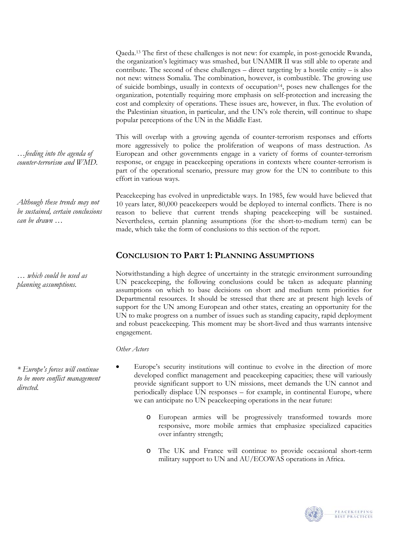Qaeda.[13](#page-33-12) The first of these challenges is not new: for example, in post-genocide Rwanda, the organization's legitimacy was smashed, but UNAMIR II was still able to operate and contribute. The second of these challenges – direct targeting by a hostile entity – is also not new: witness Somalia. The combination, however, is combustible. The growing use of suicide bombings, usually in contexts of occupatio[n14,](#page-33-13) poses new challenges for the organization, potentially requiring more emphasis on self-protection and increasing the cost and complexity of operations. These issues are, however, in flux. The evolution of the Palestinian situation, in particular, and the UN's role therein, will continue to shape popular perceptions of the UN in the Middle East.

This will overlap with a growing agenda of counter-terrorism responses and efforts more aggressively to police the proliferation of weapons of mass destruction. As European and other governments engage in a variety of forms of counter-terrorism response, or engage in peacekeeping operations in contexts where counter-terrorism is part of the operational scenario, pressure may grow for the UN to contribute to this effort in various ways.

Peacekeeping has evolved in unpredictable ways. In 1985, few would have believed that 10 years later, 80,000 peacekeepers would be deployed to internal conflicts. There is no reason to believe that current trends shaping peacekeeping will be sustained. Nevertheless, certain planning assumptions (for the short-to-medium term) can be made, which take the form of conclusions to this section of the report.

# **CONCLUSION TO PART 1: PLANNING ASSUMPTIONS**

Notwithstanding a high degree of uncertainty in the strategic environment surrounding UN peacekeeping, the following conclusions could be taken as adequate planning assumptions on which to base decisions on short and medium term priorities for Departmental resources. It should be stressed that there are at present high levels of support for the UN among European and other states, creating an opportunity for the UN to make progress on a number of issues such as standing capacity, rapid deployment and robust peacekeeping. This moment may be short-lived and thus warrants intensive engagement.

*Other Actors* 

*\* Europe's forces will continue to be more conflict management directed.* 

- Europe's security institutions will continue to evolve in the direction of more developed conflict management and peacekeeping capacities; these will variously provide significant support to UN missions, meet demands the UN cannot and periodically displace UN responses – for example, in continental Europe, where we can anticipate no UN peacekeeping operations in the near future:
	- o European armies will be progressively transformed towards more responsive, more mobile armies that emphasize specialized capacities over infantry strength;
	- o The UK and France will continue to provide occasional short-term military support to UN and AU/ECOWAS operations in Africa.

![](_page_14_Picture_10.jpeg)

*…feeding into the agenda of counter-terrorism and WMD.* 

*Although these trends may not be sustained, certain conclusions can be drawn …* 

*… which could be used as planning assumptions.*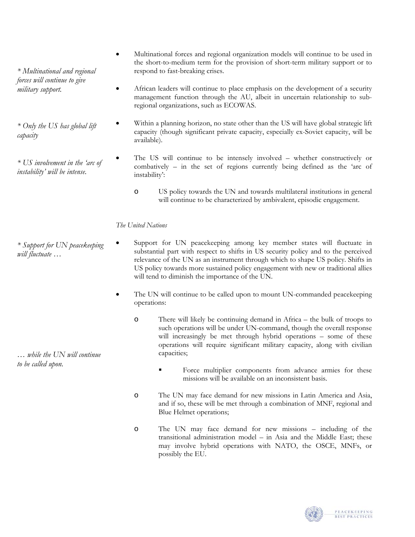- Multinational forces and regional organization models will continue to be used in the short-to-medium term for the provision of short-term military support or to *\* Multinational and regional* respond to fast-breaking crises.
	- African leaders will continue to place emphasis on the development of a security management function through the AU, albeit in uncertain relationship to subregional organizations, such as ECOWAS.
	- Within a planning horizon, no state other than the US will have global strategic lift capacity (though significant private capacity, especially ex-Soviet capacity, will be available).
	- The US will continue to be intensely involved whether constructively or combatively – in the set of regions currently being defined as the 'arc of instability':
		- o US policy towards the UN and towards multilateral institutions in general will continue to be characterized by ambivalent, episodic engagement.

# *The United Nations*

*\* Support for UN peacekeeping will fluctuate …* 

*forces will continue to give* 

*\* Only the US has global lift* 

*\* US involvement in the 'arc of instability' will be intense.* 

*military support.* 

*capacity* 

- Support for UN peacekeeping among key member states will fluctuate in substantial part with respect to shifts in US security policy and to the perceived relevance of the UN as an instrument through which to shape US policy. Shifts in US policy towards more sustained policy engagement with new or traditional allies will tend to diminish the importance of the UN.
	- The UN will continue to be called upon to mount UN-commanded peacekeeping operations:
		- o There will likely be continuing demand in Africa the bulk of troops to such operations will be under UN-command, though the overall response will increasingly be met through hybrid operations – some of these operations will require significant military capacity, along with civilian capacities;
			- Force multiplier components from advance armies for these missions will be available on an inconsistent basis.
		- o The UN may face demand for new missions in Latin America and Asia, and if so, these will be met through a combination of MNF, regional and Blue Helmet operations;
		- o The UN may face demand for new missions including of the transitional administration model – in Asia and the Middle East; these may involve hybrid operations with NATO, the OSCE, MNFs, or possibly the EU.

![](_page_15_Picture_13.jpeg)

![](_page_15_Picture_14.jpeg)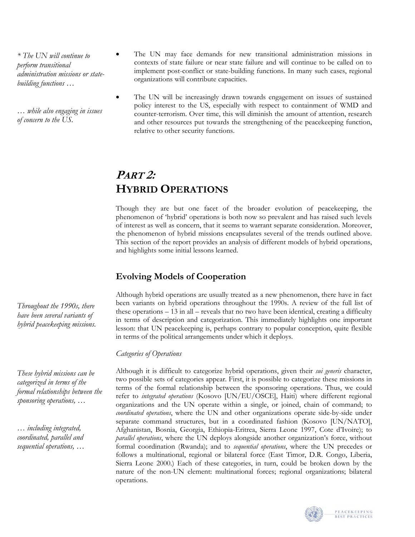*\* The UN will continue to perform transitional administration missions or statebuilding functions …* 

*… while also engaging in issues of concern to the US.* 

- The UN may face demands for new transitional administration missions in contexts of state failure or near state failure and will continue to be called on to implement post-conflict or state-building functions. In many such cases, regional organizations will contribute capacities.
- The UN will be increasingly drawn towards engagement on issues of sustained policy interest to the US, especially with respect to containment of WMD and counter-terrorism. Over time, this will diminish the amount of attention, research and other resources put towards the strengthening of the peacekeeping function, relative to other security functions.

# **PART 2: HYBRID OPERATIONS**

Though they are but one facet of the broader evolution of peacekeeping, the phenomenon of 'hybrid' operations is both now so prevalent and has raised such levels of interest as well as concern, that it seems to warrant separate consideration. Moreover, the phenomenon of hybrid missions encapsulates several of the trends outlined above. This section of the report provides an analysis of different models of hybrid operations, and highlights some initial lessons learned.

# **Evolving Models of Cooperation**

Although hybrid operations are usually treated as a new phenomenon, there have in fact been variants on hybrid operations throughout the 1990s. A review of the full list of these operations – 13 in all – reveals that no two have been identical, creating a difficulty in terms of description and categorization. This immediately highlights one important lesson: that UN peacekeeping is, perhaps contrary to popular conception, quite flexible in terms of the political arrangements under which it deploys.

# *Categories of Operations*

Although it is difficult to categorize hybrid operations, given their *sui generis* character, two possible sets of categories appear. First, it is possible to categorize these missions in terms of the formal relationship between the sponsoring operations. Thus, we could refer to *integrated operations* (Kosovo [UN/EU/OSCE], Haiti) where different regional organizations and the UN operate within a single, or joined, chain of command; to *coordinated operations*, where the UN and other organizations operate side-by-side under separate command structures, but in a coordinated fashion (Kosovo [UN/NATO], Afghanistan, Bosnia, Georgia, Ethiopia-Eritrea, Sierra Leone 1997, Cote d'Ivoire); to *parallel operations*, where the UN deploys alongside another organization's force, without formal coordination (Rwanda); and to *sequential operations*, where the UN precedes or follows a multinational, regional or bilateral force (East Timor, D.R. Congo, Liberia, Sierra Leone 2000.) Each of these categories, in turn, could be broken down by the nature of the non-UN element: multinational forces; regional organizations; bilateral operations.

![](_page_16_Picture_10.jpeg)

*These hybrid missions can be categorized in terms of the formal relationships between the sponsoring operations, …* 

*… including integrated, coordinated, parallel and sequential operations, …* 

![](_page_16_Picture_13.jpeg)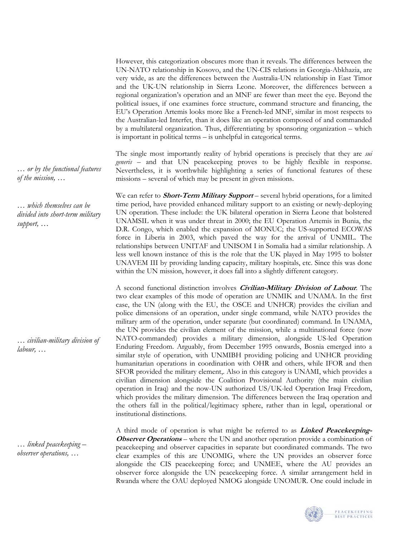However, this categorization obscures more than it reveals. The differences between the UN-NATO relationship in Kosovo, and the UN-CIS relations in Georgia-Abkhazia, are very wide, as are the differences between the Australia-UN relationship in East Timor and the UK-UN relationship in Sierra Leone. Moreover, the differences between a regional organization's operation and an MNF are fewer than meet the eye. Beyond the political issues, if one examines force structure, command structure and financing, the EU's Operation Artemis looks more like a French-led MNF, similar in most respects to the Australian-led Interfet, than it does like an operation composed of and commanded by a multilateral organization. Thus, differentiating by sponsoring organization – which is important in political terms – is unhelpful in categorical terms.

The single most importantly reality of hybrid operations is precisely that they are *sui generis* – and that UN peacekeeping proves to be highly flexible in response. Nevertheless, it is worthwhile highlighting a series of functional features of these missions – several of which may be present in given missions.

We can refer to **Short-Term Military Support** – several hybrid operations, for a limited time period, have provided enhanced military support to an existing or newly-deploying UN operation. These include: the UK bilateral operation in Sierra Leone that bolstered UNAMSIL when it was under threat in 2000; the EU Operation Artemis in Bunia, the D.R. Congo, which enabled the expansion of MONUC; the US-supported ECOWAS force in Liberia in 2003, which paved the way for the arrival of UNMIL. The relationships between UNITAF and UNISOM I in Somalia had a similar relationship. A less well known instance of this is the role that the UK played in May 1995 to bolster UNAVEM III by providing landing capacity, military hospitals, etc. Since this was done within the UN mission, however, it does fall into a slightly different category.

A second functional distinction involves **Civilian-Military Division of Labour**. The two clear examples of this mode of operation are UNMIK and UNAMA. In the first case, the UN (along with the EU, the OSCE and UNHCR) provides the civilian and police dimensions of an operation, under single command, while NATO provides the military arm of the operation, under separate (but coordinated) command. In UNAMA, the UN provides the civilian element of the mission, while a multinational force (now NATO-commanded) provides a military dimension, alongside US-led Operation Enduring Freedom. Arguably, from December 1995 onwards, Bosnia emerged into a similar style of operation, with UNMIBH providing policing and UNHCR providing humanitarian operations in coordination with OHR and others, while IFOR and then SFOR provided the military element,. Also in this category is UNAMI, which provides a civilian dimension alongside the Coalition Provisional Authority (the main civilian operation in Iraq) and the now-UN authorized US/UK-led Operation Iraqi Freedom, which provides the military dimension. The differences between the Iraq operation and the others fall in the political/legitimacy sphere, rather than in legal, operational or institutional distinctions.

A third mode of operation is what might be referred to as **Linked Peacekeeping-Observer Operations** – where the UN and another operation provide a combination of peacekeeping and observer capacities in separate but coordinated commands. The two clear examples of this are UNOMIG, where the UN provides an observer force alongside the CIS peacekeeping force; and UNMEE, where the AU provides an observer force alongside the UN peacekeeping force. A similar arrangement held in Rwanda where the OAU deployed NMOG alongside UNOMUR. One could include in

![](_page_17_Picture_5.jpeg)

*… which themselves can be divided into short-term military support, …* 

*… civilian-military division of labour, …* 

*… linked peacekeeping – observer operations, …* 

![](_page_17_Picture_9.jpeg)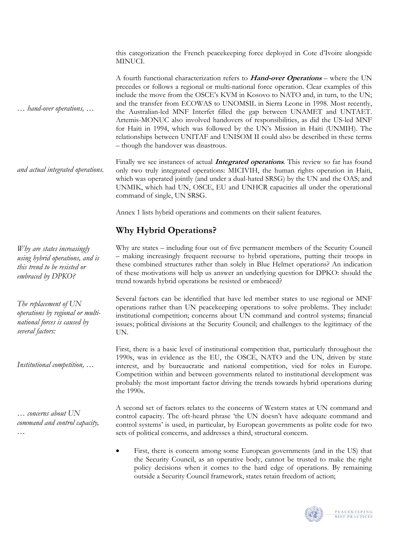this categorization the French peacekeeping force deployed in Cote d'Ivoire alongside MINUCI.

A fourth functional characterization refers to **Hand-over Operations** – where the UN precedes or follows a regional or multi-national force operation. Clear examples of this include the move from the OSCE's KVM in Kosovo to NATO and, in turn, to the UN; and the transfer from ECOWAS to UNOMSIL in Sierra Leone in 1998. Most recently, the Australian-led MNF Interfet filled the gap between UNAMET and UNTAET. Artemis-MONUC also involved handovers of responsibilities, as did the US-led MNF for Haiti in 1994, which was followed by the UN's Mission in Haiti (UNMIH). The relationships between UNITAF and UNISOM II could also be described in these terms – though the handover was disastrous.

Finally we see instances of actual **Integrated operations**. This review so far has found only two truly integrated operations: MICIVIH, the human rights operation in Haiti, which was operated jointly (and under a dual-hated SRSG) by the UN and the OAS; and UNMIK, which had UN, OSCE, EU and UNHCR capacities all under the operational command of single, UN SRSG. *and actual integrated operations.* 

Annex 1 lists hybrid operations and comments on their salient features.

# **Why Hybrid Operations?**

Why are states – including four out of five permanent members of the Security Council – making increasingly frequent recourse to hybrid operations, putting their troops in these combined structures rather than solely in Blue Helmet operations? An indication of these motivations will help us answer an underlying question for DPKO: should the trend towards hybrid operations be resisted or embraced?

Several factors can be identified that have led member states to use regional or MNF operations rather than UN peacekeeping operations to solve problems. They include: institutional competition; concerns about UN command and control systems; financial issues; political divisions at the Security Council; and challenges to the legitimacy of the UN.

First, there is a basic level of institutional competition that, particularly throughout the 1990s, was in evidence as the EU, the OSCE, NATO and the UN, driven by state interest, and by bureaucratic and national competition, vied for roles in Europe. Competition within and between governments related to institutional development was probably the most important factor driving the trends towards hybrid operations during the 1990s.

A second set of factors relates to the concerns of Western states at UN command and control capacity. The oft-heard phrase 'the UN doesn't have adequate command and control systems' is used, in particular, by European governments as polite code for two sets of political concerns, and addresses a third, structural concern.

• First, there is concern among some European governments (and in the US) that the Security Council, as an operative body, cannot be trusted to make the right policy decisions when it comes to the hard edge of operations. By remaining outside a Security Council framework, states retain freedom of action;

![](_page_18_Picture_10.jpeg)

*Why are states increasingly using hybrid operations, and is this trend to be resisted or embraced by DPKO?* 

*… hand-over operations, …* 

*The replacement of UN operations by regional or multinational forces is caused by several factors:*

*Institutional competition, …* 

*… concerns about UN command and control capacity, …*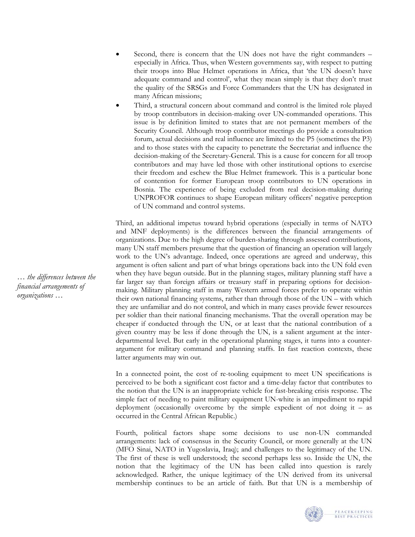- Second, there is concern that the UN does not have the right commanders especially in Africa. Thus, when Western governments say, with respect to putting their troops into Blue Helmet operations in Africa, that 'the UN doesn't have adequate command and control', what they mean simply is that they don't trust the quality of the SRSGs and Force Commanders that the UN has designated in many African missions;
- Third, a structural concern about command and control is the limited role played by troop contributors in decision-making over UN-commanded operations. This issue is by definition limited to states that are not permanent members of the Security Council. Although troop contributor meetings do provide a consultation forum, actual decisions and real influence are limited to the P5 (sometimes the P3) and to those states with the capacity to penetrate the Secretariat and influence the decision-making of the Secretary-General. This is a cause for concern for all troop contributors and may have led those with other institutional options to exercise their freedom and eschew the Blue Helmet framework. This is a particular bone of contention for former European troop contributors to UN operations in Bosnia. The experience of being excluded from real decision-making during UNPROFOR continues to shape European military officers' negative perception of UN command and control systems.

Third, an additional impetus toward hybrid operations (especially in terms of NATO and MNF deployments) is the differences between the financial arrangements of organizations. Due to the high degree of burden-sharing through assessed contributions, many UN staff members presume that the question of financing an operation will largely work to the UN's advantage. Indeed, once operations are agreed and underway, this argument is often salient and part of what brings operations back into the UN fold even when they have begun outside. But in the planning stages, military planning staff have a far larger say than foreign affairs or treasury staff in preparing options for decisionmaking. Military planning staff in many Western armed forces prefer to operate within their own national financing systems, rather than through those of the UN – with which they are unfamiliar and do not control, and which in many cases provide fewer resources per soldier than their national financing mechanisms. That the overall operation may be cheaper if conducted through the UN, or at least that the national contribution of a given country may be less if done through the UN, is a salient argument at the interdepartmental level. But early in the operational planning stages, it turns into a counterargument for military command and planning staffs. In fast reaction contexts, these latter arguments may win out.

In a connected point, the cost of re-tooling equipment to meet UN specifications is perceived to be both a significant cost factor and a time-delay factor that contributes to the notion that the UN is an inappropriate vehicle for fast-breaking crisis response. The simple fact of needing to paint military equipment UN-white is an impediment to rapid deployment (occasionally overcome by the simple expedient of not doing it – as occurred in the Central African Republic.)

Fourth, political factors shape some decisions to use non-UN commanded arrangements: lack of consensus in the Security Council, or more generally at the UN (MFO Sinai, NATO in Yugoslavia, Iraq); and challenges to the legitimacy of the UN. The first of these is well understood; the second perhaps less so. Inside the UN, the notion that the legitimacy of the UN has been called into question is rarely acknowledged. Rather, the unique legitimacy of the UN derived from its universal membership continues to be an article of faith. But that UN is a membership of

![](_page_19_Picture_5.jpeg)

*… the differences between the financial arrangements of organizations …*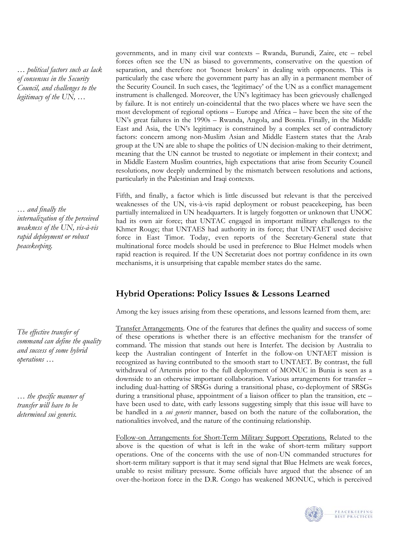*… political factors such as lack of consensus in the Security Council, and challenges to the legitimacy of the UN, …* 

*… and finally the internalization of the perceived weakness of the UN, vis-à-vis rapid deployment or robust peacekeeping.* 

*The effective transfer of command can define the quality and success of some hybrid operations …* 

*… the specific manner of transfer will have to be determined sui generis.* 

governments, and in many civil war contexts – Rwanda, Burundi, Zaire, etc – rebel forces often see the UN as biased to governments, conservative on the question of separation, and therefore not 'honest brokers' in dealing with opponents. This is particularly the case where the government party has an ally in a permanent member of the Security Council. In such cases, the 'legitimacy' of the UN as a conflict management instrument is challenged. Moreover, the UN's legitimacy has been grievously challenged by failure. It is not entirely un-coincidental that the two places where we have seen the most development of regional options – Europe and Africa – have been the site of the UN's great failures in the 1990s – Rwanda, Angola, and Bosnia. Finally, in the Middle East and Asia, the UN's legitimacy is constrained by a complex set of contradictory factors: concern among non-Muslim Asian and Middle Eastern states that the Arab group at the UN are able to shape the politics of UN decision-making to their detriment, meaning that the UN cannot be trusted to negotiate or implement in their context; and in Middle Eastern Muslim countries, high expectations that arise from Security Council resolutions, now deeply undermined by the mismatch between resolutions and actions, particularly in the Palestinian and Iraqi contexts.

Fifth, and finally, a factor which is little discussed but relevant is that the perceived weaknesses of the UN, vis-à-vis rapid deployment or robust peacekeeping, has been partially internalized in UN headquarters. It is largely forgotten or unknown that UNOC had its own air force; that UNTAC engaged in important military challenges to the Khmer Rouge; that UNTAES had authority in its force; that UNTAET used decisive force in East Timor. Today, even reports of the Secretary-General state that multinational force models should be used in preference to Blue Helmet models when rapid reaction is required. If the UN Secretariat does not portray confidence in its own mechanisms, it is unsurprising that capable member states do the same.

# **Hybrid Operations: Policy Issues & Lessons Learned**

Among the key issues arising from these operations, and lessons learned from them, are:

Transfer Arrangements*.* One of the features that defines the quality and success of some of these operations is whether there is an effective mechanism for the transfer of command. The mission that stands out here is Interfet. The decision by Australia to keep the Australian contingent of Interfet in the follow-on UNTAET mission is recognized as having contributed to the smooth start to UNTAET. By contrast, the full withdrawal of Artemis prior to the full deployment of MONUC in Bunia is seen as a downside to an otherwise important collaboration. Various arrangements for transfer – including dual-hatting of SRSGs during a transitional phase, co-deployment of SRSGs during a transitional phase, appointment of a liaison officer to plan the transition, etc – have been used to date, with early lessons suggesting simply that this issue will have to be handled in a *sui generis* manner, based on both the nature of the collaboration, the nationalities involved, and the nature of the continuing relationship.

Follow-on Arrangements for Short-Term Military Support Operations. Related to the above is the question of what is left in the wake of short-term military support operations. One of the concerns with the use of non-UN commanded structures for short-term military support is that it may send signal that Blue Helmets are weak forces, unable to resist military pressure. Some officials have argued that the absence of an over-the-horizon force in the D.R. Congo has weakened MONUC, which is perceived

![](_page_20_Picture_10.jpeg)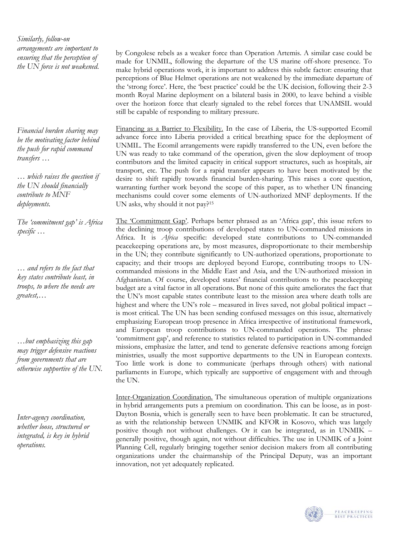*Similarly, follow-on arrangements are important to ensuring that the perception of the UN force is not weakened.* 

*Financial burden sharing may be the motivating factor behind the push for rapid command transfers …* 

*… which raises the question if the UN should financially contribute to MNF deployments.* 

*The 'commitment gap' is Africa specific …* 

*… and refers to the fact that key states contribute least, in troops, to where the needs are greatest,…* 

*…but emphasizing this gap may trigger defensive reactions from governments that are otherwise supportive of the UN.* 

*Inter-agency coordination, whether loose, structured or integrated, is key in hybrid operations.* 

by Congolese rebels as a weaker force than Operation Artemis. A similar case could be made for UNMIL, following the departure of the US marine off-shore presence. To make hybrid operations work, it is important to address this subtle factor: ensuring that perceptions of Blue Helmet operations are not weakened by the immediate departure of the 'strong force'. Here, the 'best practice' could be the UK decision, following their 2-3 month Royal Marine deployment on a bilateral basis in 2000, to leave behind a visible over the horizon force that clearly signaled to the rebel forces that UNAMSIL would still be capable of responding to military pressure.

Financing as a Barrier to Flexibility. In the case of Liberia, the US-supported Ecomil advance force into Liberia provided a critical breathing space for the deployment of UNMIL. The Ecomil arrangements were rapidly transferred to the UN, even before the UN was ready to take command of the operation, given the slow deployment of troop contributors and the limited capacity in critical support structures, such as hospitals, air transport, etc. The push for a rapid transfer appears to have been motivated by the desire to shift rapidly towards financial burden-sharing. This raises a core question, warranting further work beyond the scope of this paper, as to whether UN financing mechanisms could cover some elements of UN-authorized MNF deployments. If the UN asks, why should it not pay?[15](#page-33-14) 

The 'Commitment Gap'. Perhaps better phrased as an 'Africa gap', this issue refers to the declining troop contributions of developed states to UN-commanded missions in Africa. It is *Africa* specific: developed state contributions to UN-commanded peacekeeping operations are, by most measures, disproportionate to their membership in the UN; they contribute significantly to UN-authorized operations, proportionate to capacity; and their troops are deployed beyond Europe, contributing troops to UNcommanded missions in the Middle East and Asia, and the UN-authorized mission in Afghanistan. Of course, developed states' financial contributions to the peacekeeping budget are a vital factor in all operations. But none of this quite ameliorates the fact that the UN's most capable states contribute least to the mission area where death tolls are highest and where the UN's role – measured in lives saved, not global political impact – is most critical. The UN has been sending confused messages on this issue, alternatively emphasizing European troop presence in Africa irrespective of institutional framework, and European troop contributions to UN-commanded operations. The phrase 'commitment gap', and reference to statistics related to participation in UN-commanded missions, emphasize the latter, and tend to generate defensive reactions among foreign ministries, usually the most supportive departments to the UN in European contexts. Too little work is done to communicate (perhaps through others) with national parliaments in Europe, which typically are supportive of engagement with and through the UN.

Inter-Organization Coordination. The simultaneous operation of multiple organizations in hybrid arrangements puts a premium on coordination. This can be loose, as in post-Dayton Bosnia, which is generally seen to have been problematic. It can be structured, as with the relationship between UNMIK and KFOR in Kosovo, which was largely positive though not without challenges. Or it can be integrated, as in UNMIK – generally positive, though again, not without difficulties. The use in UNMIK of a Joint Planning Cell, regularly bringing together senior decision makers from all contributing organizations under the chairmanship of the Principal Deputy, was an important innovation, not yet adequately replicated.

![](_page_21_Picture_11.jpeg)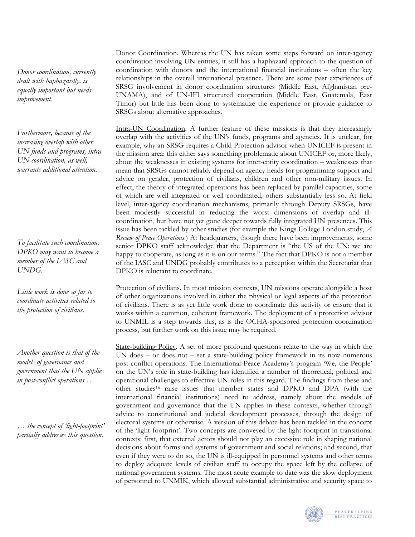*Donor coordination, currently dealt with haphazardly, is equally important but needs improvement.* 

*Furthermore, because of the increasing overlap with other UN funds and programs, intra-UN coordination, as well, warrants additional attention.*

*To facilitate such coordination, DPKO may want to become a member of the IASC and UNDG.* 

*Little work is done so far to coordinate activities related to the protection of civilians.* 

*Another question is that of the models of governance and government that the UN applies in post-conflict operations …* 

*… the concept of 'light-footprint' partially addresses this question.* 

Donor Coordination. Whereas the UN has taken some steps forward on inter-agency coordination involving UN entities, it still has a haphazard approach to the question of coordination with donors and the international financial institutions – often the key relationships in the overall international presence. There are some past experiences of SRSG involvement in donor coordination structures (Middle East, Afghanistan pre-UNAMA), and of UN-IFI structured cooperation (Middle East, Guatemala, East Timor) but little has been done to systematize the experience or provide guidance to SRSGs about alternative approaches.

Intra-UN Coordination. A further feature of these missions is that they increasingly overlap with the activities of the UN's funds, programs and agencies. It is unclear, for example, why an SRSG requires a Child Protection advisor when UNICEF is present in the mission area: this either says something problematic about UNICEF or, more likely, about the weaknesses in existing systems for inter-entity coordination – weaknesses that mean that SRSGs cannot reliably depend on agency heads for programming support and advice on gender, protection of civilians, children and other non-military issues. In effect, the theory of integrated operations has been replaced by parallel capacities, some of which are well integrated or well coordinated, others substantially less so. At field level, inter-agency coordination mechanisms, primarily through Deputy SRSGs, have been modestly successful in reducing the worst dimensions of overlap and illcoordination, but have not yet gone deeper towards fully integrated UN presences. This issue has been tackled by other studies (for example the Kings College London study, *A Review of Peace Operations*.) At headquarters, though there have been improvements, some senior DPKO staff acknowledge that the Department is "the US of the UN: we are happy to cooperate, as long as it is on our terms." The fact that DPKO is not a member of the IASC and UNDG probably contributes to a perception within the Secretariat that DPKO is reluctant to coordinate.

Protection of civilians. In most mission contexts, UN missions operate alongside a host of other organizations involved in either the physical or legal aspects of the protection of civilians. There is as yet little work done to coordinate this activity or ensure that it works within a common, coherent framework. The deployment of a protection advisor to UNMIL is a step towards this, as is the OCHA-sponsored protection coordination process, but further work on this issue may be required.

State-building Policy. A set of more profound questions relate to the way in which the UN does – or does not – set a state-building policy framework in its now numerous post-conflict operations. The International Peace Academy's program 'We, the People' on the UN's role in state-building has identified a number of theoretical, political and operational challenges to effective UN roles in this regard. The findings from these and other studies[16](#page-33-15) raise issues that member states and DPKO and DPA (with the international financial institutions) need to address, namely about the models of government and governance that the UN applies in these contexts, whether through advice to constitutional and judicial development processes, through the design of electoral systems or otherwise. A version of this debate has been tackled in the concept of the 'light-footprint'. Two concepts are conveyed by the light-footprint in transitional contexts: first, that external actors should not play an excessive role in shaping national decisions about forms and systems of government and social relations; and second, that even if they were to do so, the UN is ill-equipped in personnel systems and other terms to deploy adequate levels of civilian staff to occupy the space left by the collapse of national government systems. The most acute example to date was the slow deployment of personnel to UNMIK, which allowed substantial administrative and security space to

![](_page_22_Picture_10.jpeg)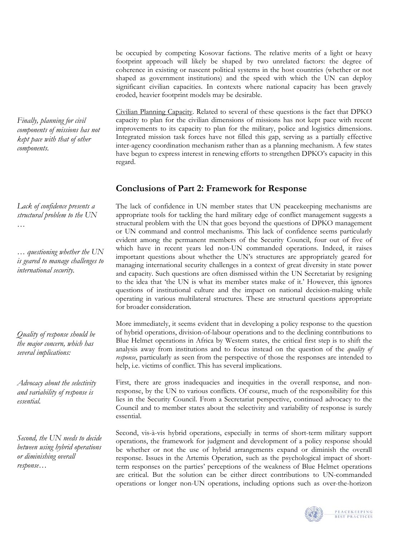be occupied by competing Kosovar factions. The relative merits of a light or heavy footprint approach will likely be shaped by two unrelated factors: the degree of coherence in existing or nascent political systems in the host countries (whether or not shaped as government institutions) and the speed with which the UN can deploy significant civilian capacities. In contexts where national capacity has been gravely eroded, heavier footprint models may be desirable.

Civilian Planning Capacity. Related to several of these questions is the fact that DPKO capacity to plan for the civilian dimensions of missions has not kept pace with recent improvements to its capacity to plan for the military, police and logistics dimensions. Integrated mission task forces have not filled this gap, serving as a partially effective inter-agency coordination mechanism rather than as a planning mechanism. A few states have begun to express interest in renewing efforts to strengthen DPKO's capacity in this regard.

# **Conclusions of Part 2: Framework for Response**

The lack of confidence in UN member states that UN peacekeeping mechanisms are appropriate tools for tackling the hard military edge of conflict management suggests a structural problem with the UN that goes beyond the questions of DPKO management or UN command and control mechanisms. This lack of confidence seems particularly evident among the permanent members of the Security Council, four out of five of which have in recent years led non-UN commanded operations. Indeed, it raises important questions about whether the UN's structures are appropriately geared for managing international security challenges in a context of great diversity in state power and capacity. Such questions are often dismissed within the UN Secretariat by resigning to the idea that 'the UN is what its member states make of it.' However, this ignores questions of institutional culture and the impact on national decision-making while operating in various multilateral structures. These are structural questions appropriate for broader consideration.

More immediately, it seems evident that in developing a policy response to the question of hybrid operations, division-of-labour operations and to the declining contributions to Blue Helmet operations in Africa by Western states, the critical first step is to shift the analysis away from institutions and to focus instead on the question of the *quality of response*, particularly as seen from the perspective of those the responses are intended to help, i.e. victims of conflict. This has several implications.

First, there are gross inadequacies and inequities in the overall response, and nonresponse, by the UN to various conflicts. Of course, much of the responsibility for this lies in the Security Council. From a Secretariat perspective, continued advocacy to the Council and to member states about the selectivity and variability of response is surely essential.

Second, vis-à-vis hybrid operations, especially in terms of short-term military support operations, the framework for judgment and development of a policy response should be whether or not the use of hybrid arrangements expand or diminish the overall response. Issues in the Artemis Operation, such as the psychological impact of shortterm responses on the parties' perceptions of the weakness of Blue Helmet operations are critical. But the solution can be either direct contributions to UN-commanded operations or longer non-UN operations, including options such as over-the-horizon

![](_page_23_Picture_7.jpeg)

*Finally, planning for civil components of missions has not kept pace with that of other components.* 

*Lack of confidence presents a structural problem to the UN …* 

*… questioning whether the UN is geared to manage challenges to international security.* 

*Quality of response should be the major concern, which has several implications:* 

*Advocacy about the selectivity and variability of response is essential.* 

*Second, the UN needs to decide between using hybrid operations or diminishing overall response…*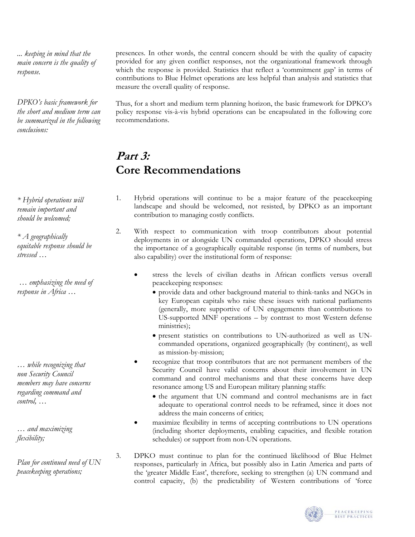*... keeping in mind that the main concern is the quality of response.* 

*DPKO's basic framework for the short and medium term can be summarized in the following conclusions:* 

*\* Hybrid operations will remain important and should be welcomed;* 

*\* A geographically equitable response should be stressed …* 

 *… emphasizing the need of response in Africa …* 

*… while recognizing that non Security Council members may have concerns regarding command and control, …* 

*… and maximizing flexibility;* 

*Plan for continued need of UN peacekeeping operations;* 

presences. In other words, the central concern should be with the quality of capacity provided for any given conflict responses, not the organizational framework through which the response is provided. Statistics that reflect a 'commitment gap' in terms of contributions to Blue Helmet operations are less helpful than analysis and statistics that measure the overall quality of response.

Thus, for a short and medium term planning horizon, the basic framework for DPKO's policy response vis-à-vis hybrid operations can be encapsulated in the following core recommendations.

# **Part 3: Core Recommendations**

- 1. Hybrid operations will continue to be a major feature of the peacekeeping landscape and should be welcomed, not resisted, by DPKO as an important contribution to managing costly conflicts.
- 2. With respect to communication with troop contributors about potential deployments in or alongside UN commanded operations, DPKO should stress the importance of a geographically equitable response (in terms of numbers, but also capability) over the institutional form of response:
	- stress the levels of civilian deaths in African conflicts versus overall peacekeeping responses:
		- provide data and other background material to think-tanks and NGOs in key European capitals who raise these issues with national parliaments (generally, more supportive of UN engagements than contributions to US-supported MNF operations – by contrast to most Western defense ministries);
		- present statistics on contributions to UN-authorized as well as UNcommanded operations, organized geographically (by continent), as well as mission-by-mission;
	- recognize that troop contributors that are not permanent members of the Security Council have valid concerns about their involvement in UN command and control mechanisms and that these concerns have deep resonance among US and European military planning staffs:
		- the argument that UN command and control mechanisms are in fact adequate to operational control needs to be reframed, since it does not address the main concerns of critics;
	- maximize flexibility in terms of accepting contributions to UN operations (including shorter deployments, enabling capacities, and flexible rotation schedules) or support from non-UN operations.
- 3. DPKO must continue to plan for the continued likelihood of Blue Helmet responses, particularly in Africa, but possibly also in Latin America and parts of the 'greater Middle East', therefore, seeking to strengthen (a) UN command and control capacity, (b) the predictability of Western contributions of 'force

![](_page_24_Picture_20.jpeg)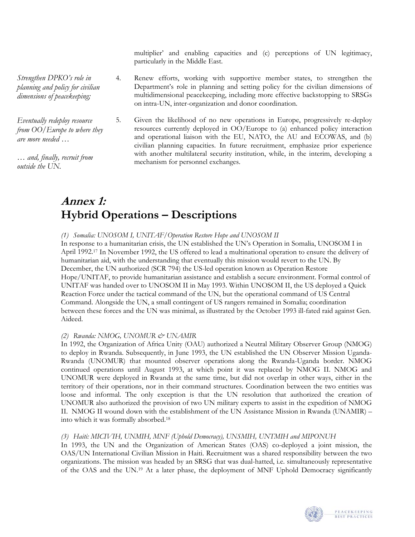multiplier' and enabling capacities and (c) perceptions of UN legitimacy, particularly in the Middle East.

*Strengthen DPKO's role in planning and policy for civilian dimensions of peacekeeping;* 

*Eventually redeploy resource from OO/Europe to where they are more needed …* 

*… and, finally, recruit from outside the UN.* 

4. Renew efforts, working with supportive member states, to strengthen the Department's role in planning and setting policy for the civilian dimensions of multidimensional peacekeeping, including more effective backstopping to SRSGs on intra-UN, inter-organization and donor coordination.

5. Given the likelihood of no new operations in Europe, progressively re-deploy resources currently deployed in OO/Europe to (a) enhanced policy interaction and operational liaison with the EU, NATO, the AU and ECOWAS, and (b) civilian planning capacities. In future recruitment, emphasize prior experience with another multilateral security institution, while, in the interim, developing a mechanism for personnel exchanges.

# **Annex 1: Hybrid Operations – Descriptions**

# *(1) Somalia: UNOSOM I, UNITAF/Operation Restore Hope and UNOSOM II*

In response to a humanitarian crisis, the UN established the UN's Operation in Somalia, UNOSOM I in April 1992[.17 I](#page-33-16)n November 1992, the US offered to lead a multinational operation to ensure the delivery of humanitarian aid, with the understanding that eventually this mission would revert to the UN. By December, the UN authorized (SCR 794) the US-led operation known as Operation Restore Hope/UNITAF, to provide humanitarian assistance and establish a secure environment. Formal control of UNITAF was handed over to UNOSOM II in May 1993. Within UNOSOM II, the US deployed a Quick Reaction Force under the tactical command of the UN, but the operational command of US Central Command. Alongside the UN, a small contingent of US rangers remained in Somalia; coordination between these forces and the UN was minimal, as illustrated by the October 1993 ill-fated raid against Gen. Aideed.

# *(2) Rwanda: NMOG, UNOMUR & UNAMIR*

In 1992, the Organization of Africa Unity (OAU) authorized a Neutral Military Observer Group (NMOG) to deploy in Rwanda. Subsequently, in June 1993, the UN established the UN Observer Mission Uganda-Rwanda (UNOMUR) that mounted observer operations along the Rwanda-Uganda border. NMOG continued operations until August 1993, at which point it was replaced by NMOG II. NMOG and UNOMUR were deployed in Rwanda at the same time, but did not overlap in other ways, either in the territory of their operations, nor in their command structures. Coordination between the two entities was loose and informal. The only exception is that the UN resolution that authorized the creation of UNOMUR also authorized the provision of two UN military experts to assist in the expedition of NMOG II. NMOG II wound down with the establishment of the UN Assistance Mission in Rwanda (UNAMIR) – into which it was formally absorbed. [18](#page-33-17) 

# *(3) Haiti: MICIVIH, UNMIH, MNF (Uphold Democracy), UNSMIH, UNTMIH and MIPONUH*

In 1993, the UN and the Organization of American States (OAS) co-deployed a joint mission, the OAS/UN International Civilian Mission in Haiti. Recruitment was a shared responsibility between the two organizations. The mission was headed by an SRSG that was dual-hatted, i.e. simultaneously representative of the OAS and the UN.[19](#page-33-18) At a later phase, the deployment of MNF Uphold Democracy significantly

![](_page_25_Picture_13.jpeg)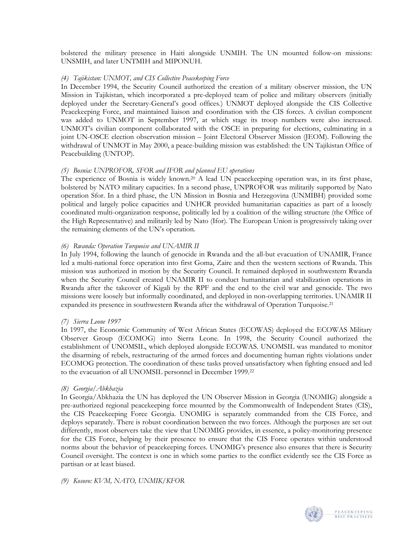bolstered the military presence in Haiti alongside UNMIH. The UN mounted follow-on missions: UNSMIH, and later UNTMIH and MIPONUH.

# *(4) Tajikistan: UNMOT, and CIS Collective Peacekeeping Force*

In December 1994, the Security Council authorized the creation of a military observer mission, the UN Mission in Tajikistan, which incorporated a pre-deployed team of police and military observers (initially deployed under the Secretary-General's good offices.) UNMOT deployed alongside the CIS Collective Peacekeeping Force, and maintained liaison and coordination with the CIS forces. A civilian component was added to UNMOT in September 1997, at which stage its troop numbers were also increased. UNMOT's civilian component collaborated with the OSCE in preparing for elections, culminating in a joint UN-OSCE election observation mission – Joint Electoral Observer Mission (JEOM). Following the withdrawal of UNMOT in May 2000, a peace-building mission was established: the UN Tajikistan Office of Peacebuilding (UNTOP).

# *(5) Bosnia: UNPROFOR, SFOR and IFOR and planned EU operations*

The experience of Bosnia is widely known[.20](#page-33-19) A lead UN peacekeeping operation was, in its first phase, bolstered by NATO military capacities. In a second phase, UNPROFOR was militarily supported by Nato operation Sfor. In a third phase, the UN Mission in Bosnia and Herzegovina (UNMIBH) provided some political and largely police capacities and UNHCR provided humanitarian capacities as part of a loosely coordinated multi-organization response, politically led by a coalition of the willing structure (the Office of the High Representative) and militarily led by Nato (Ifor). The European Union is progressively taking over the remaining elements of the UN's operation.

### *(6) Rwanda: Operation Turquoise and UNAMIR II*

In July 1994, following the launch of genocide in Rwanda and the all-but evacuation of UNAMIR, France led a multi-national force operation into first Goma, Zaire and then the western sections of Rwanda. This mission was authorized in motion by the Security Council. It remained deployed in southwestern Rwanda when the Security Council created UNAMIR II to conduct humanitarian and stabilization operations in Rwanda after the takeover of Kigali by the RPF and the end to the civil war and genocide. The two missions were loosely but informally coordinated, and deployed in non-overlapping territories. UNAMIR II expanded its presence in southwestern Rwanda after the withdrawal of Operation Turquoise[.21](#page-33-20) 

### *(7) Sierra Leone 1997*

In 1997, the Economic Community of West African States (ECOWAS) deployed the ECOWAS Military Observer Group (ECOMOG) into Sierra Leone. In 1998, the Security Council authorized the establishment of UNOMSIL, which deployed alongside ECOWAS. UNOMSIL was mandated to monitor the disarming of rebels, restructuring of the armed forces and documenting human rights violations under ECOMOG protection. The coordination of these tasks proved unsatisfactory when fighting ensued and led to the evacuation of all UNOMSIL personnel in December 1999[.22](#page-33-21) 

### *(8) Georgia/Abkhazia*

In Georgia/Abkhazia the UN has deployed the UN Observer Mission in Georgia (UNOMIG) alongside a pre-authorized regional peacekeeping force mounted by the Commonwealth of Independent States (CIS), the CIS Peacekeeping Force Georgia. UNOMIG is separately commanded from the CIS Force, and deploys separately. There is robust coordination between the two forces. Although the purposes are set out differently, most observers take the view that UNOMIG provides, in essence, a policy-monitoring presence for the CIS Force, helping by their presence to ensure that the CIS Force operates within understood norms about the behavior of peacekeeping forces. UNOMIG's presence also ensures that there is Security Council oversight. The context is one in which some parties to the conflict evidently see the CIS Force as partisan or at least biased.

### *(9) Kosovo: KVM, NATO, UNMIK/KFOR*

![](_page_26_Picture_12.jpeg)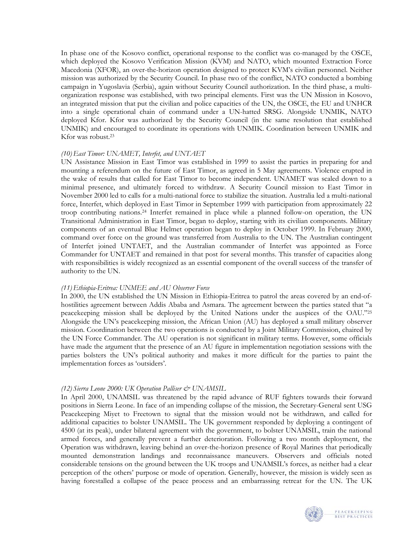In phase one of the Kosovo conflict, operational response to the conflict was co-managed by the OSCE, which deployed the Kosovo Verification Mission (KVM) and NATO, which mounted Extraction Force Macedonia (XFOR), an over-the-horizon operation designed to protect KVM's civilian personnel. Neither mission was authorized by the Security Council. In phase two of the conflict, NATO conducted a bombing campaign in Yugoslavia (Serbia), again without Security Council authorization. In the third phase, a multiorganization response was established, with two principal elements. First was the UN Mission in Kosovo, an integrated mission that put the civilian and police capacities of the UN, the OSCE, the EU and UNHCR into a single operational chain of command under a UN-hatted SRSG. Alongside UNMIK, NATO deployed Kfor. Kfor was authorized by the Security Council (in the same resolution that established UNMIK) and encouraged to coordinate its operations with UNMIK. Coordination between UNMIK and Kfor was robust[.23](#page-33-22)

#### *(10)East Timor: UNAMET, Interfet, and UNTAET*

UN Assistance Mission in East Timor was established in 1999 to assist the parties in preparing for and mounting a referendum on the future of East Timor, as agreed in 5 May agreements. Violence erupted in the wake of results that called for East Timor to become independent. UNAMET was scaled down to a minimal presence, and ultimately forced to withdraw. A Security Council mission to East Timor in November 2000 led to calls for a multi-national force to stabilize the situation. Australia led a multi-national force, Interfet, which deployed in East Timor in September 1999 with participation from approximately 22 troop contributing nations[.24](#page-33-23) Interfet remained in place while a planned follow-on operation, the UN Transitional Administration in East Timor, began to deploy, starting with its civilian components. Military components of an eventual Blue Helmet operation began to deploy in October 1999. In February 2000, command over force on the ground was transferred from Australia to the UN. The Australian contingent of Interfet joined UNTAET, and the Australian commander of Interfet was appointed as Force Commander for UNTAET and remained in that post for several months. This transfer of capacities along with responsibilities is widely recognized as an essential component of the overall success of the transfer of authority to the UN.

#### *(11)Ethiopia-Eritrea: UNMEE and AU Observer Force*

In 2000, the UN established the UN Mission in Ethiopia-Eritrea to patrol the areas covered by an end-ofhostilities agreement between Addis Ababa and Asmara. The agreement between the parties stated that "a peacekeeping mission shall be deployed by the United Nations under the auspices of the OAU.["25](#page-33-24) Alongside the UN's peacekeeping mission, the African Union (AU) has deployed a small military observer mission. Coordination between the two operations is conducted by a Joint Military Commission, chaired by the UN Force Commander. The AU operation is not significant in military terms. However, some officials have made the argument that the presence of an AU figure in implementation negotiation sessions with the parties bolsters the UN's political authority and makes it more difficult for the parties to paint the implementation forces as 'outsiders'.

### *(12) Sierra Leone 2000: UK Operation Palliser & UNAMSIL*

In April 2000, UNAMSIL was threatened by the rapid advance of RUF fighters towards their forward positions in Sierra Leone. In face of an impending collapse of the mission, the Secretary-General sent USG Peacekeeping Miyet to Freetown to signal that the mission would not be withdrawn, and called for additional capacities to bolster UNAMSIL. The UK government responded by deploying a contingent of 4500 (at its peak), under bilateral agreement with the government, to bolster UNAMSIL, train the national armed forces, and generally prevent a further deterioration. Following a two month deployment, the Operation was withdrawn, leaving behind an over-the-horizon presence of Royal Marines that periodically mounted demonstration landings and reconnaissance maneuvers. Observers and officials noted considerable tensions on the ground between the UK troops and UNAMSIL's forces, as neither had a clear perception of the others' purpose or mode of operation. Generally, however, the mission is widely seen as having forestalled a collapse of the peace process and an embarrassing retreat for the UN. The UK

![](_page_27_Picture_7.jpeg)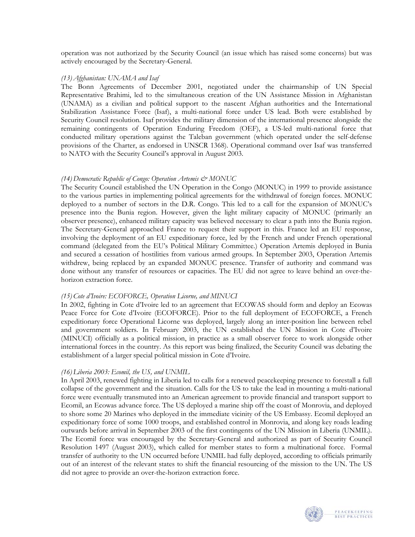operation was not authorized by the Security Council (an issue which has raised some concerns) but was actively encouraged by the Secretary-General.

#### *(13) Afghanistan: UNAMA and Isaf*

The Bonn Agreements of December 2001, negotiated under the chairmanship of UN Special Representative Brahimi, led to the simultaneous creation of the UN Assistance Mission in Afghanistan (UNAMA) as a civilian and political support to the nascent Afghan authorities and the International Stabilization Assistance Force (Isaf), a multi-national force under US lead. Both were established by Security Council resolution. Isaf provides the military dimension of the international presence alongside the remaining contingents of Operation Enduring Freedom (OEF), a US-led multi-national force that conducted military operations against the Taleban government (which operated under the self-defense provisions of the Charter, as endorsed in UNSCR 1368). Operational command over Isaf was transferred to NATO with the Security Council's approval in August 2003.

## *(14) Democratic Republic of Congo: Operation Artemis & MONUC*

The Security Council established the UN Operation in the Congo (MONUC) in 1999 to provide assistance to the various parties in implementing political agreements for the withdrawal of foreign forces. MONUC deployed to a number of sectors in the D.R. Congo. This led to a call for the expansion of MONUC's presence into the Bunia region. However, given the light military capacity of MONUC (primarily an observer presence), enhanced military capacity was believed necessary to clear a path into the Bunia region. The Secretary-General approached France to request their support in this. France led an EU response, involving the deployment of an EU expeditionary force, led by the French and under French operational command (delegated from the EU's Political Military Committee.) Operation Artemis deployed in Bunia and secured a cessation of hostilities from various armed groups. In September 2003, Operation Artemis withdrew, being replaced by an expanded MONUC presence. Transfer of authority and command was done without any transfer of resources or capacities. The EU did not agree to leave behind an over-thehorizon extraction force.

#### *(15)Cote d'Ivoire: ECOFORCE, Operation Licorne, and MINUCI*

In 2002, fighting in Cote d'Ivoire led to an agreement that ECOWAS should form and deploy an Ecowas Peace Force for Cote d'Ivoire (ECOFORCE). Prior to the full deployment of ECOFORCE, a French expeditionary force Operational Licorne was deployed, largely along an inter-position line between rebel and government soldiers. In February 2003, the UN established the UN Mission in Cote d'Ivoire (MINUCI) officially as a political mission, in practice as a small observer force to work alongside other international forces in the country. As this report was being finalized, the Security Council was debating the establishment of a larger special political mission in Cote d'Ivoire.

### *(16)Liberia 2003: Ecomil, the US, and UNMIL*

In April 2003, renewed fighting in Liberia led to calls for a renewed peacekeeping presence to forestall a full collapse of the government and the situation. Calls for the US to take the lead in mounting a multi-national force were eventually transmuted into an American agreement to provide financial and transport support to Ecomil, an Ecowas advance force. The US deployed a marine ship off the coast of Monrovia, and deployed to shore some 20 Marines who deployed in the immediate vicinity of the US Embassy. Ecomil deployed an expeditionary force of some 1000 troops, and established control in Monrovia, and along key roads leading outwards before arrival in September 2003 of the first contingents of the UN Mission in Liberia (UNMIL). The Ecomil force was encouraged by the Secretary-General and authorized as part of Security Council Resolution 1497 (August 2003), which called for member states to form a multinational force. Formal transfer of authority to the UN occurred before UNMIL had fully deployed, according to officials primarily out of an interest of the relevant states to shift the financial resourcing of the mission to the UN. The US did not agree to provide an over-the-horizon extraction force.

![](_page_28_Picture_9.jpeg)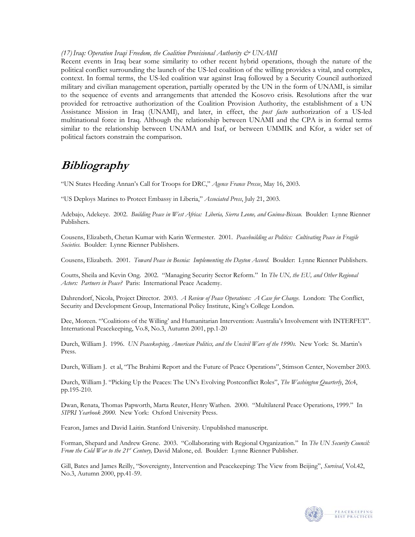*(17)Iraq: Operation Iraqi Freedom, the Coalition Provisional Authority & UNAMI* 

Recent events in Iraq bear some similarity to other recent hybrid operations, though the nature of the political conflict surrounding the launch of the US-led coalition of the willing provides a vital, and complex, context. In formal terms, the US-led coalition war against Iraq followed by a Security Council authorized military and civilian management operation, partially operated by the UN in the form of UNAMI, is similar to the sequence of events and arrangements that attended the Kosovo crisis. Resolutions after the war provided for retroactive authorization of the Coalition Provision Authority, the establishment of a UN Assistance Mission in Iraq (UNAMI), and later, in effect, the *post facto* authorization of a US-led multinational force in Iraq. Although the relationship between UNAMI and the CPA is in formal terms similar to the relationship between UNAMA and Isaf, or between UMMIK and Kfor, a wider set of political factors constrain the comparison.

# **Bibliography**

"UN States Heeding Annan's Call for Troops for DRC," *Agence France Presse*, May 16, 2003.

"US Deploys Marines to Protect Embassy in Liberia," *Associated Press*, July 21, 2003.

Adebajo, Adekeye. 2002. *Building Peace in West Africa: Liberia, Sierra Leone, and Guinea-Bissau.* Boulder: Lynne Rienner Publishers.

Cousens, Elizabeth, Chetan Kumar with Karin Wermester. 2001. *Peacebuilding as Politics: Cultivating Peace in Fragile Societies.* Boulder: Lynne Rienner Publishers.

Cousens, Elizabeth. 2001. *Toward Peace in Bosnia: Implementing the Dayton Accord.* Boulder: Lynne Rienner Publishers.

Coutts, Sheila and Kevin Ong. 2002. "Managing Security Sector Reform." In *The UN, the EU, and Other Regional Actors: Partners in Peace?* Paris: International Peace Academy.

Dahrendorf, Nicola, Project Director. 2003. *A Review of Peace Operations: A Case for Change.* London: The Conflict, Security and Development Group, International Policy Institute, King's College London.

Dee, Moreen. "'Coalitions of the Willing' and Humanitarian Intervention: Australia's Involvement with INTERFET". International Peacekeeping, Vo.8, No.3, Autumn 2001, pp.1-20

Durch, William J. 1996. *UN Peacekeeping, American Politics, and the Uncivil Wars of the 1990s.* New York: St. Martin's Press.

Durch, William J. et al, "The Brahimi Report and the Future of Peace Operations", Stimson Center, November 2003.

Durch, William J. "Picking Up the Peaces: The UN's Evolving Postconflict Roles", *The Washington Quarterly*, 26:4, pp.195-210.

Dwan, Renata, Thomas Papworth, Marta Reuter, Henry Wathen. 2000. "Multilateral Peace Operations, 1999." In *SIPRI Yearbook 2000.* New York: Oxford University Press.

Fearon, James and David Laitin. Stanford University. Unpublished manuscript.

Forman, Shepard and Andrew Grene. 2003. "Collaborating with Regional Organization." In *The UN Security Council: From the Cold War to the 21st Century,* David Malone, ed.Boulder: Lynne Rienner Publisher.

Gill, Bates and James Reilly, "Sovereignty, Intervention and Peacekeeping: The View from Beijing", *Survival*, Vol.42, No.3, Autumn 2000, pp.41-59.

![](_page_29_Picture_18.jpeg)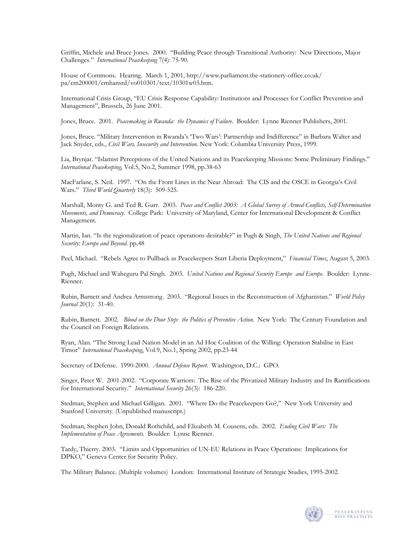Griffin, Michele and Bruce Jones. 2000. "Building Peace through Transitional Authority: New Directions, Major Challenges." *International Peacekeeping* 7(4): 75-90.

House of Commons. Hearing. March 1, 2001, [http://www.parliament.the-stationery-office.co.uk/](http://65.54.246.250/cgi-bin/linkrd?_lang=EN&lah=43f8103fff8e5e26211364100cf53c81&lat=1069812027&hm___action=http%3a%2f%2fwww%2eparliament%2ethe%2dstationery%2doffice%2eco%2euk%2fpa%2fcm200001%2fcmhansrd%2fvo010301%2ftext%2f10301w03%2ehtm)  [pa/cm200001/cmhansrd/vo010301/text/10301w03.htm](http://65.54.246.250/cgi-bin/linkrd?_lang=EN&lah=43f8103fff8e5e26211364100cf53c81&lat=1069812027&hm___action=http%3a%2f%2fwww%2eparliament%2ethe%2dstationery%2doffice%2eco%2euk%2fpa%2fcm200001%2fcmhansrd%2fvo010301%2ftext%2f10301w03%2ehtm).

International Crisis Group, "EU Crisis Response Capability: Institutions and Processes for Conflict Prevention and Management", Brussels, 26 June 2001.

Jones, Bruce. 2001. *Peacemaking in Rwanda: the Dynamics of Failure.* Boulder: Lynne Rienner Publishers, 2001.

Jones, Bruce. "Military Intervention in Rwanda's 'Two Wars': Partnership and Indifference" in Barbara Walter and Jack Snyder, eds., *Civil Wars, Insecurity and Intervention*. New York: Columbia University Press, 1999.

Lia, Brynjar. "Islamist Perceptions of the United Nations and its Peacekeeping Missions: Some Preliminary Findings." *International Peacekeeping*, Vol.5, No.2, Summer 1998, pp.38-63

MacFarlane, S. Neil. 1997. "On the Front Lines in the Near Abroad: The CIS and the OSCE in Georgia's Civil Wars." *Third World Quarterly* 18(3): 509-525.

Marshall, Monty G. and Ted R. Gurr. 2003. *Peace and Conflict 2003: A Global Survey of Armed Conflicts, Self-Determination Movements, and Democracy.* College Park: University of Maryland, Center for International Development & Conflict Management.

Martin, Ian. "Is the regionalization of peace operations desirable?" in Pugh & Singh, *The United Nations and Regional Security: Europe and Beyond*. pp.48

Peel, Michael. "Rebels Agree to Pullback as Peacekeepers Start Liberia Deployment," *Financial Times*, August 5, 2003.

Pugh, Michael and Waheguru Pal Singh. 2003. *United Nations and Regional Security Europe and Europe*. Boulder: Lynne-Rienner.

Rubin, Barnett and Andrea Armstrong. 2003. "Regional Issues in the Reconstruction of Afghanistan." *World Policy Journal* 20(1): 31-40.

Rubin, Barnett. 2002. *Blood on the Door Step: the Politics of Preventive Action*. New York: The Century Foundation and the Council on Foreign Relations.

Ryan, Alan. "The Strong Lead-Nation Model in an Ad Hoc Coalition of the Willing: Operation Stabilise in East Timor" *International Peacekeeping*, Vol.9, No.1, Spring 2002, pp.23-44

Secretary of Defense. 1990-2000. *Annual Defense Report*. Washington, D.C.: GPO.

Singer, Peter W. 2001-2002. "Corporate Warriors: The Rise of the Privatized Military Industry and Its Ramifications for International Security." *International Security* 26(3): 186-220.

Stedman, Stephen and Michael Gilligan. 2001. "Where Do the Peacekeepers Go?," New York University and Stanford University. (Unpublished manuscript.)

Stedman, Stephen John, Donald Rothchild, and Elizabeth M. Cousens, eds. 2002. *Ending Civil Wars: The Implementation of Peace Agreements.* Boulder: Lynne Rienner.

Tardy, Thierry. 2003. "Limits and Opportunities of UN-EU Relations in Peace Operations: Implications for DPKO," Geneva Center for Security Policy.

The Military Balance. (Multiple volumes) London: International Institute of Strategic Studies, 1995-2002.

![](_page_30_Picture_20.jpeg)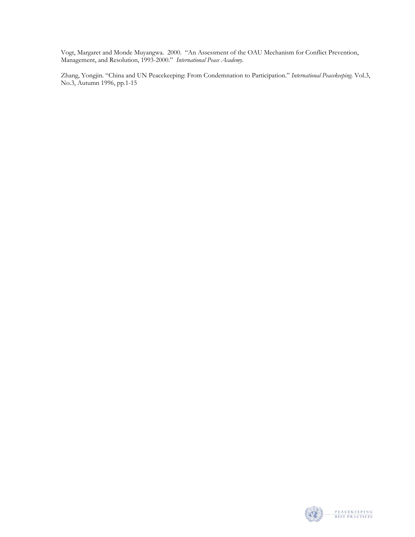Vogt, Margaret and Monde Muyangwa. 2000. "An Assessment of the OAU Mechanism for Conflict Prevention, Management, and Resolution, 1993-2000." *International Peace Academy*.

Zhang, Yongjin. "China and UN Peacekeeping: From Condemnation to Participation." *International Peacekeeping*. Vol.3, No.3, Autumn 1996, pp.1-15

![](_page_31_Picture_2.jpeg)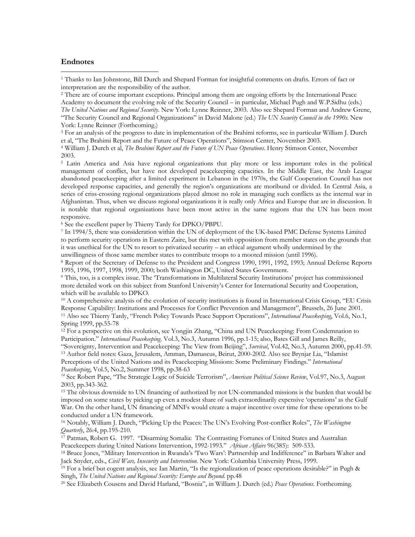#### **Endnotes**

 $\overline{a}$ 

1 Thanks to Ian Johnstone, Bill Durch and Shepard Forman for insightful comments on drafts. Errors of fact or interpretation are the responsibility of the author.

2 There are of course important exceptions. Principal among them are ongoing efforts by the International Peace Academy to document the evolving role of the Security Council – in particular, Michael Pugh and W.P.Sidhu (eds.) *The United Nations and Regional Security*. New York: Lynne Reinner, 2003. Also see Shepard Forman and Andrew Grene, "The Security Council and Regional Organizations" in David Malone (ed.) *The UN Security Council in the 1990s.* New York: Lynne Reinner (Forthcoming.)

3 For an analysis of the progress to date in implementation of the Brahimi reforms, see in particular William J. Durch et al, "The Brahimi Report and the Future of Peace Operations", Stimson Center, November 2003. 4 William J. Durch et al, *The Brahimi Report and the Future of UN Peace Operations*. Henry Stimson Center, November

2003.

5 Latin America and Asia have regional organizations that play more or less important roles in the political management of conflict, but have not developed peacekeeping capacities. In the Middle East, the Arab League abandoned peacekeeping after a limited experiment in Lebanon in the 1970s, the Gulf Cooperation Council has not developed response capacities, and generally the region's organizations are moribund or divided. In Central Asia, a series of criss-crossing regional organizations played almost no role in managing such conflicts as the internal war in Afghanistan. Thus, when we discuss regional organizations it is really only Africa and Europe that are in discussion. It is notable that regional organizations have been most active in the same regions that the UN has been most responsive.

6 See the excellent paper by Thierry Tardy for DPKO/PBPU.

7 In 1994/5, there was consideration within the UN of deployment of the UK-based PMC Defense Systems Limited to perform security operations in Eastern Zaire, but this met with opposition from member states on the grounds that it was unethical for the UN to resort to privatized security – an ethical argument wholly undermined by the

unwillingness of those same member states to contribute troops to a mooted mission (until 1996).<br><sup>8</sup> Report of the Secretary of Defense to the President and Congress 1990, 1991, 1992, 1993; Annual Defense Reports 1995, 1996, 1997, 1998, 1999, 2000; both Washington DC, United States Government.<br><sup>9</sup> This, too, is a complex issue. The 'Transformations in Multilateral Security Institutions' project has commissioned

more detailed work on this subject from Stanford University's Center for International Security and Cooperation, which will be available to DPKO.

 $10$  A comprehensive analysis of the evolution of security institutions is found in International Crisis Group, "EU Crisis" Response Capability: Institutions and Processes for Conflict Prevention and Management", Brussels, 26 June 2001.<br><sup>11</sup> Also see Thierry Tardy, "French Policy Towards Peace Support Operations", *International Peacekeeping*, Spring 1999, pp.55-78

12 For a perspective on this evolution, see Yongjin Zhang, "China and UN Peacekeeping: From Condemnation to Participation." *International Peacekeeping*. Vol.3, No.3, Autumn 1996, pp.1-15; also, Bates Gill and James Reilly,<br>"Sovereignty, Intervention and Peacekeeping: The View from Beijing", Survival, Vol.42, No.3, Autumn 2000, <sup>13</sup> Author field notes: Gaza, Jerusalem, Amman, Damascus, Beirut, 2000-2002. Also see Brynjar Lia, "Islamist

Perceptions of the United Nations and its Peacekeeping Missions: Some Preliminary Findings." *International Peacekeeping*, Vol.5, No.2, Summer 1998, pp.38-63

*<sup>14</sup>* See Robert Pape, "The Strategic Logic of Suicide Terrorism", *American Political Science Review*, Vol.97, No.3, August 2003, pp.343-362*.* 

<sup>15</sup> The obvious downside to UN financing of authorized by not UN-commanded missions is the burden that would be imposed on some states by picking up even a modest share of such extraordinarily expensive 'operations' as the Gulf War. On the other hand, UN financing of MNFs would create a major incentive over time for these operations to be conducted under a UN framework.<br><sup>16</sup> Notably, William J. Durch, "Picking Up the Peaces: The UN's Evolving Post-conflict Roles", *The Washington* 

*Quarterly*, 26:4, pp.195-210.<br><sup>17</sup> Patman, Robert G. 1997. "Disarming Somalia: The Contrasting Fortunes of United States and Australian

Peacekeepers during United Nations Intervention, 1992-1993." *African Affairs* 96(385): 509-533. 18 Barbara Walter and 18 Bruce Jones, "Military Intervention in Rwanda's 'Two Wars': Partnership and Indifference" in Barbara

Jack Snyder, eds., *Civil Wars, Insecurity and Intervention*. New York: Columbia University Press, 1999.<br><sup>19</sup> For a brief but cogent analysis, see Ian Martin, "Is the regionalization of peace operations desirable?" in Pugh

Singh, *The United Nations and Regional Security: Europe and Beyond.* pp.48<br><sup>20</sup> See Elizabeth Cousens and David Harland, "Bosnia", in William J. Durch (ed.) *Peace Operations*. Forthcoming.